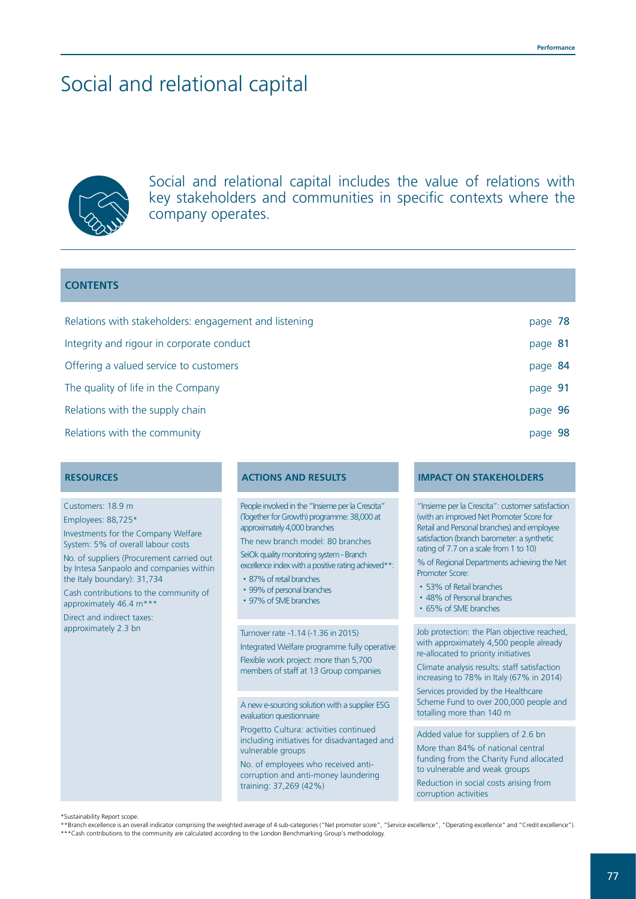# Social and relational capital



Social and relational capital includes the value of relations with key stakeholders and communities in specific contexts where the company operates.

## **CONTENTS**

| Relations with stakeholders: engagement and listening | page 78 |  |
|-------------------------------------------------------|---------|--|
| Integrity and rigour in corporate conduct             | page 81 |  |
| Offering a valued service to customers                | page 84 |  |
| The quality of life in the Company                    | page 91 |  |
| Relations with the supply chain                       | page 96 |  |
| Relations with the community                          | page 98 |  |

Customers: 18.9 m Employees: 88,725\*

Investments for the Company Welfare System: 5% of overall labour costs

No. of suppliers (Procurement carried out by Intesa Sanpaolo and companies within the Italy boundary): 31,734

Cash contributions to the community of approximately 46.4  $m^*$ 

Direct and indirect taxes: approximately 2.3 bn

People involved in the "Insieme per la Crescita" (Together for Growth) programme: 38,000 at approximately 4,000 branches

The new branch model: 80 branches SeiOk quality monitoring system - Branch

excellence index with a positive rating achieved\*\*:

- 87% of retail branches
- 99% of personal branches
- 97% of SME branches

Turnover rate -1.14 (-1.36 in 2015)

Integrated Welfare programme fully operative Flexible work project: more than 5,700 members of staff at 13 Group companies

A new e-sourcing solution with a supplier ESG evaluation questionnaire

Progetto Cultura: activities continued including initiatives for disadvantaged and vulnerable groups

No. of employees who received anticorruption and anti-money laundering training: 37,269 (42%)

## **RESOURCES ACTIONS AND RESULTS IMPACT ON STAKEHOLDERS**

"Insieme per la Crescita": customer satisfaction (with an improved Net Promoter Score for Retail and Personal branches) and employee satisfaction (branch barometer: a synthetic rating of 7.7 on a scale from 1 to 10)

% of Regional Departments achieving the Net Promoter Score:

- 53% of Retail branches
- 48% of Personal branches
- 65% of SME branches

Job protection: the Plan objective reached, with approximately 4,500 people already re-allocated to priority initiatives

Climate analysis results: staff satisfaction increasing to 78% in Italy (67% in 2014)

Services provided by the Healthcare Scheme Fund to over 200,000 people and totalling more than 140 m

Added value for suppliers of 2.6 bn

More than 84% of national central funding from the Charity Fund allocated to vulnerable and weak groups Reduction in social costs arising from corruption activities

\*Sustainability Report scope.

\*\*Branch excellence is an overall indicator comprising the weighted average of 4 sub-categories ("Net promoter score", "Service excellence", "Operating excellence" and "Credit excellence"). \*\*\*Cash contributions to the community are calculated according to the London Benchmarking Group's methodology.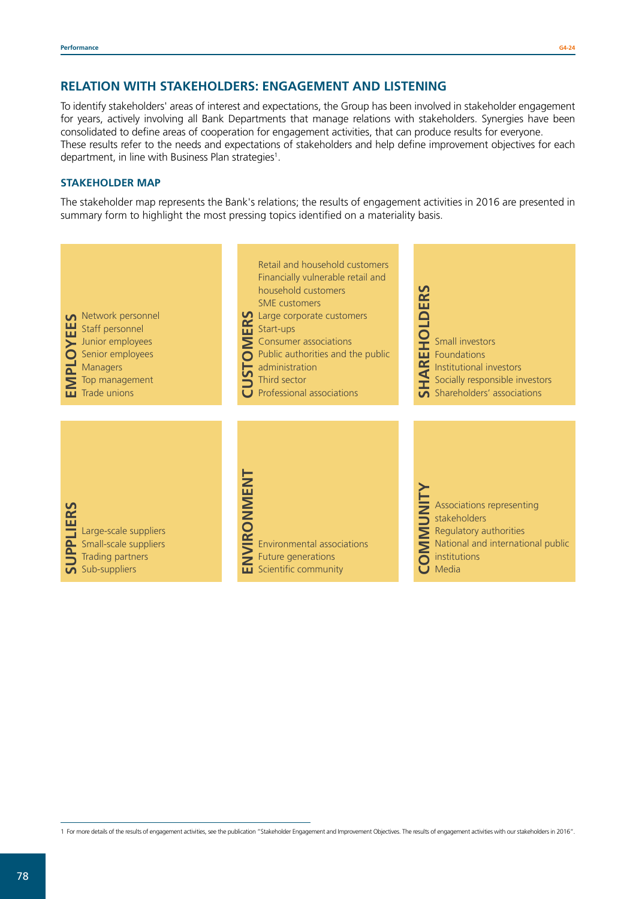## **RELATION WITH STAKEHOLDERS: ENGAGEMENT AND LISTENING**

To identify stakeholders' areas of interest and expectations, the Group has been involved in stakeholder engagement for years, actively involving all Bank Departments that manage relations with stakeholders. Synergies have been consolidated to define areas of cooperation for engagement activities, that can produce results for everyone. These results refer to the needs and expectations of stakeholders and help define improvement objectives for each department, in line with Business Plan strategies<sup>1</sup>.

## **STAKEHOLDER MAP**

The stakeholder map represents the Bank's relations; the results of engagement activities in 2016 are presented in summary form to highlight the most pressing topics identified on a materiality basis.



<sup>1</sup> For more details of the results of engagement activities, see the publication "Stakeholder Engagement and Improvement Objectives. The results of engagement activities with our stakeholders in 2016".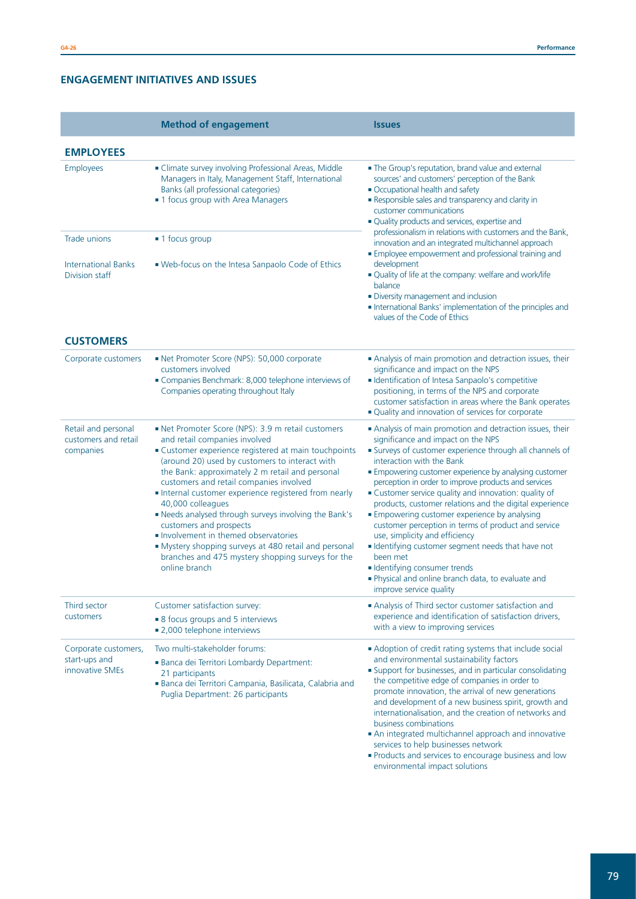## **ENGAGEMENT INITIATIVES AND ISSUES**

|                                                              | <b>Method of engagement</b>                                                                                                                                                                                                                                                                                                                                                                                                                                                                                                                                                                                                 | <b>Issues</b>                                                                                                                                                                                                                                                                                                                                                                                                                                                                                                                                                                                                                                                                                                                                             |
|--------------------------------------------------------------|-----------------------------------------------------------------------------------------------------------------------------------------------------------------------------------------------------------------------------------------------------------------------------------------------------------------------------------------------------------------------------------------------------------------------------------------------------------------------------------------------------------------------------------------------------------------------------------------------------------------------------|-----------------------------------------------------------------------------------------------------------------------------------------------------------------------------------------------------------------------------------------------------------------------------------------------------------------------------------------------------------------------------------------------------------------------------------------------------------------------------------------------------------------------------------------------------------------------------------------------------------------------------------------------------------------------------------------------------------------------------------------------------------|
| <b>EMPLOYEES</b>                                             |                                                                                                                                                                                                                                                                                                                                                                                                                                                                                                                                                                                                                             |                                                                                                                                                                                                                                                                                                                                                                                                                                                                                                                                                                                                                                                                                                                                                           |
| Employees                                                    | Climate survey involving Professional Areas, Middle<br>Managers in Italy, Management Staff, International<br>Banks (all professional categories)<br>• 1 focus group with Area Managers                                                                                                                                                                                                                                                                                                                                                                                                                                      | . The Group's reputation, brand value and external<br>sources' and customers' perception of the Bank<br>• Occupational health and safety<br>Responsible sales and transparency and clarity in<br>customer communications<br>· Quality products and services, expertise and                                                                                                                                                                                                                                                                                                                                                                                                                                                                                |
| Trade unions<br><b>International Banks</b><br>Division staff | ■ 1 focus group<br>• Web-focus on the Intesa Sanpaolo Code of Ethics                                                                                                                                                                                                                                                                                                                                                                                                                                                                                                                                                        | professionalism in relations with customers and the Bank,<br>innovation and an integrated multichannel approach<br>Employee empowerment and professional training and<br>development<br>• Quality of life at the company: welfare and work/life<br>balance<br>· Diversity management and inclusion<br>International Banks' implementation of the principles and<br>values of the Code of Ethics                                                                                                                                                                                                                                                                                                                                                           |
| <b>CUSTOMERS</b>                                             |                                                                                                                                                                                                                                                                                                                                                                                                                                                                                                                                                                                                                             |                                                                                                                                                                                                                                                                                                                                                                                                                                                                                                                                                                                                                                                                                                                                                           |
| Corporate customers                                          | Net Promoter Score (NPS): 50,000 corporate<br>customers involved<br>Companies Benchmark: 8,000 telephone interviews of<br>Companies operating throughout Italy                                                                                                                                                                                                                                                                                                                                                                                                                                                              | Analysis of main promotion and detraction issues, their<br>significance and impact on the NPS<br>• Identification of Intesa Sanpaolo's competitive<br>positioning, in terms of the NPS and corporate<br>customer satisfaction in areas where the Bank operates<br>• Quality and innovation of services for corporate                                                                                                                                                                                                                                                                                                                                                                                                                                      |
| Retail and personal<br>customers and retail<br>companies     | Net Promoter Score (NPS): 3.9 m retail customers<br>and retail companies involved<br>Customer experience registered at main touchpoints<br>(around 20) used by customers to interact with<br>the Bank: approximately 2 m retail and personal<br>customers and retail companies involved<br>Internal customer experience registered from nearly<br>40,000 colleagues<br>Needs analysed through surveys involving the Bank's<br>customers and prospects<br>Involvement in themed observatories<br>• Mystery shopping surveys at 480 retail and personal<br>branches and 475 mystery shopping surveys for the<br>online branch | Analysis of main promotion and detraction issues, their<br>significance and impact on the NPS<br>Surveys of customer experience through all channels of<br>interaction with the Bank<br>Empowering customer experience by analysing customer<br>perception in order to improve products and services<br>· Customer service quality and innovation: quality of<br>products, customer relations and the digital experience<br><b>Empowering customer experience by analysing</b><br>customer perception in terms of product and service<br>use, simplicity and efficiency<br>Identifying customer segment needs that have not<br>been met<br>• Identifying consumer trends<br>. Physical and online branch data, to evaluate and<br>improve service quality |
| Third sector<br>customers                                    | Customer satisfaction survey:<br>• 8 focus groups and 5 interviews<br>• 2,000 telephone interviews                                                                                                                                                                                                                                                                                                                                                                                                                                                                                                                          | Analysis of Third sector customer satisfaction and<br>experience and identification of satisfaction drivers,<br>with a view to improving services                                                                                                                                                                                                                                                                                                                                                                                                                                                                                                                                                                                                         |
| Corporate customers,<br>start-ups and<br>innovative SMEs     | Two multi-stakeholder forums:<br>Banca dei Territori Lombardy Department:<br>21 participants<br>Banca dei Territori Campania, Basilicata, Calabria and<br>Puglia Department: 26 participants                                                                                                                                                                                                                                                                                                                                                                                                                                | Adoption of credit rating systems that include social<br>and environmental sustainability factors<br>• Support for businesses, and in particular consolidating<br>the competitive edge of companies in order to<br>promote innovation, the arrival of new generations<br>and development of a new business spirit, growth and<br>internationalisation, and the creation of networks and<br>business combinations<br>An integrated multichannel approach and innovative<br>services to help businesses network<br>• Products and services to encourage business and low<br>environmental impact solutions                                                                                                                                                  |

<u> 1989 - Johann Stoff, amerikansk politiker (d. 1989)</u>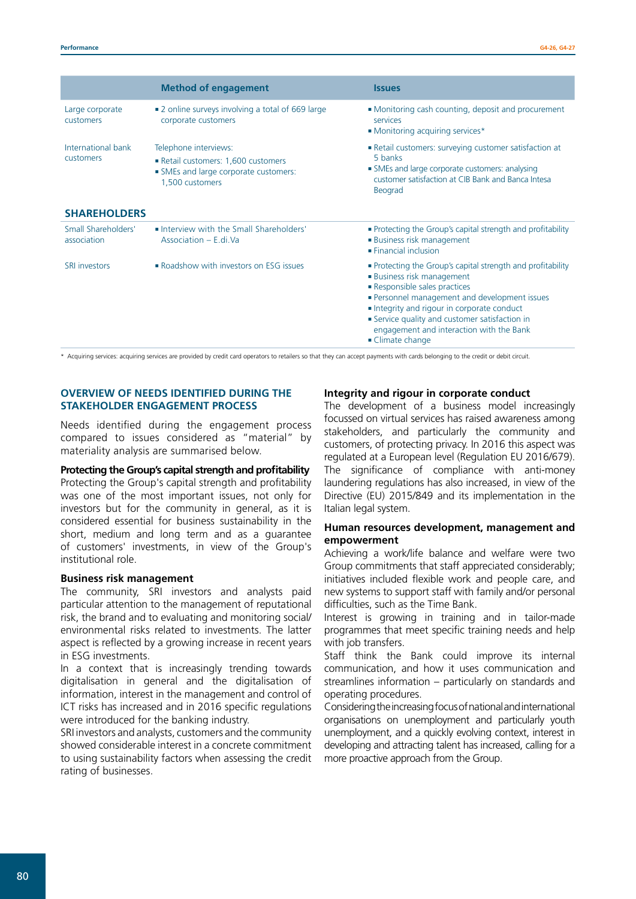|                                                        | <b>Method of engagement</b>                                                                                          | <b>Issues</b>                                                                                                                                                                                                                                                                                                                             |
|--------------------------------------------------------|----------------------------------------------------------------------------------------------------------------------|-------------------------------------------------------------------------------------------------------------------------------------------------------------------------------------------------------------------------------------------------------------------------------------------------------------------------------------------|
| Large corporate<br>customers                           | • 2 online surveys involving a total of 669 large<br>corporate customers                                             | • Monitoring cash counting, deposit and procurement<br>services<br>• Monitoring acquiring services*                                                                                                                                                                                                                                       |
| International bank<br>customers<br><b>SHAREHOLDERS</b> | Telephone interviews:<br>Retail customers: 1,600 customers<br>SMEs and large corporate customers:<br>1,500 customers | Retail customers: surveying customer satisfaction at<br>5 banks<br>• SMEs and large corporate customers: analysing<br>customer satisfaction at CIB Bank and Banca Intesa<br>Beograd                                                                                                                                                       |
| Small Shareholders'<br>association                     | . Interview with the Small Shareholders'<br>Association - E.di.Va                                                    | • Protecting the Group's capital strength and profitability<br><b>Business risk management</b><br>$\blacksquare$ Financial inclusion                                                                                                                                                                                                      |
| <b>SRI investors</b>                                   | Roadshow with investors on ESG issues                                                                                | • Protecting the Group's capital strength and profitability<br><b>Business risk management</b><br>Responsible sales practices<br>· Personnel management and development issues<br>Integrity and rigour in corporate conduct<br>Service quality and customer satisfaction in<br>engagement and interaction with the Bank<br>Climate change |

\* Acquiring services: acquiring services are provided by credit card operators to retailers so that they can accept payments with cards belonging to the credit or debit circuit.

## **OVERVIEW OF NEEDS IDENTIFIED DURING THE STAKEHOLDER ENGAGEMENT PROCESS**

Needs identified during the engagement process compared to issues considered as "material" by materiality analysis are summarised below.

#### **Protecting the Group's capital strength and profitability**

Protecting the Group's capital strength and profitability was one of the most important issues, not only for investors but for the community in general, as it is considered essential for business sustainability in the short, medium and long term and as a guarantee of customers' investments, in view of the Group's institutional role.

## **Business risk management**

The community, SRI investors and analysts paid particular attention to the management of reputational risk, the brand and to evaluating and monitoring social/ environmental risks related to investments. The latter aspect is reflected by a growing increase in recent years in ESG investments.

In a context that is increasingly trending towards digitalisation in general and the digitalisation of information, interest in the management and control of ICT risks has increased and in 2016 specific regulations were introduced for the banking industry.

SRI investors and analysts, customers and the community showed considerable interest in a concrete commitment to using sustainability factors when assessing the credit rating of businesses.

### **Integrity and rigour in corporate conduct**

The development of a business model increasingly focussed on virtual services has raised awareness among stakeholders, and particularly the community and customers, of protecting privacy. In 2016 this aspect was regulated at a European level (Regulation EU 2016/679). The significance of compliance with anti-money laundering regulations has also increased, in view of the Directive (EU) 2015/849 and its implementation in the Italian legal system.

### **Human resources development, management and empowerment**

Achieving a work/life balance and welfare were two Group commitments that staff appreciated considerably; initiatives included flexible work and people care, and new systems to support staff with family and/or personal difficulties, such as the Time Bank.

Interest is growing in training and in tailor-made programmes that meet specific training needs and help with job transfers.

Staff think the Bank could improve its internal communication, and how it uses communication and streamlines information – particularly on standards and operating procedures.

Considering the increasing focus of national and international organisations on unemployment and particularly youth unemployment, and a quickly evolving context, interest in developing and attracting talent has increased, calling for a more proactive approach from the Group.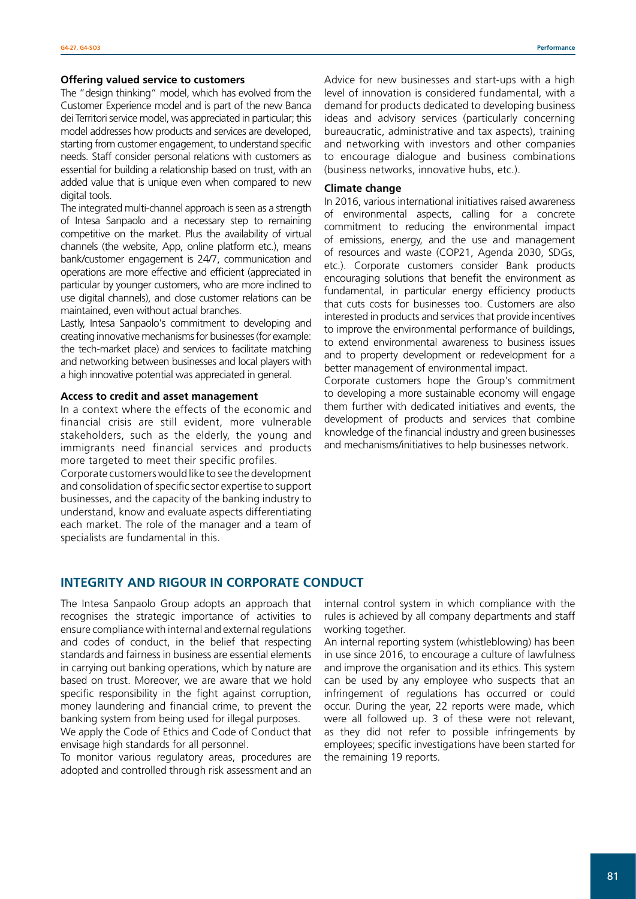#### **Offering valued service to customers**

The "design thinking" model, which has evolved from the Customer Experience model and is part of the new Banca dei Territori service model, was appreciated in particular; this model addresses how products and services are developed, starting from customer engagement, to understand specific needs. Staff consider personal relations with customers as essential for building a relationship based on trust, with an added value that is unique even when compared to new digital tools.

The integrated multi-channel approach is seen as a strength of Intesa Sanpaolo and a necessary step to remaining competitive on the market. Plus the availability of virtual channels (the website, App, online platform etc.), means bank/customer engagement is 24/7, communication and operations are more effective and efficient (appreciated in particular by younger customers, who are more inclined to use digital channels), and close customer relations can be maintained, even without actual branches.

Lastly, Intesa Sanpaolo's commitment to developing and creating innovative mechanisms for businesses (for example: the tech-market place) and services to facilitate matching and networking between businesses and local players with a high innovative potential was appreciated in general.

#### **Access to credit and asset management**

In a context where the effects of the economic and financial crisis are still evident, more vulnerable stakeholders, such as the elderly, the young and immigrants need financial services and products more targeted to meet their specific profiles.

Corporate customers would like to see the development and consolidation of specific sector expertise to support businesses, and the capacity of the banking industry to understand, know and evaluate aspects differentiating each market. The role of the manager and a team of specialists are fundamental in this.

Advice for new businesses and start-ups with a high level of innovation is considered fundamental, with a demand for products dedicated to developing business ideas and advisory services (particularly concerning bureaucratic, administrative and tax aspects), training and networking with investors and other companies to encourage dialogue and business combinations (business networks, innovative hubs, etc.).

#### **Climate change**

In 2016, various international initiatives raised awareness of environmental aspects, calling for a concrete commitment to reducing the environmental impact of emissions, energy, and the use and management of resources and waste (COP21, Agenda 2030, SDGs, etc.). Corporate customers consider Bank products encouraging solutions that benefit the environment as fundamental, in particular energy efficiency products that cuts costs for businesses too. Customers are also interested in products and services that provide incentives to improve the environmental performance of buildings, to extend environmental awareness to business issues and to property development or redevelopment for a better management of environmental impact.

Corporate customers hope the Group's commitment to developing a more sustainable economy will engage them further with dedicated initiatives and events, the development of products and services that combine knowledge of the financial industry and green businesses and mechanisms/initiatives to help businesses network.

## **INTEGRITY AND RIGOUR IN CORPORATE CONDUCT**

The Intesa Sanpaolo Group adopts an approach that recognises the strategic importance of activities to ensure compliance with internal and external regulations and codes of conduct, in the belief that respecting standards and fairness in business are essential elements in carrying out banking operations, which by nature are based on trust. Moreover, we are aware that we hold specific responsibility in the fight against corruption, money laundering and financial crime, to prevent the banking system from being used for illegal purposes.

We apply the Code of Ethics and Code of Conduct that envisage high standards for all personnel.

To monitor various regulatory areas, procedures are adopted and controlled through risk assessment and an

internal control system in which compliance with the rules is achieved by all company departments and staff working together.

An internal reporting system (whistleblowing) has been in use since 2016, to encourage a culture of lawfulness and improve the organisation and its ethics. This system can be used by any employee who suspects that an infringement of regulations has occurred or could occur. During the year, 22 reports were made, which were all followed up. 3 of these were not relevant, as they did not refer to possible infringements by employees; specific investigations have been started for the remaining 19 reports.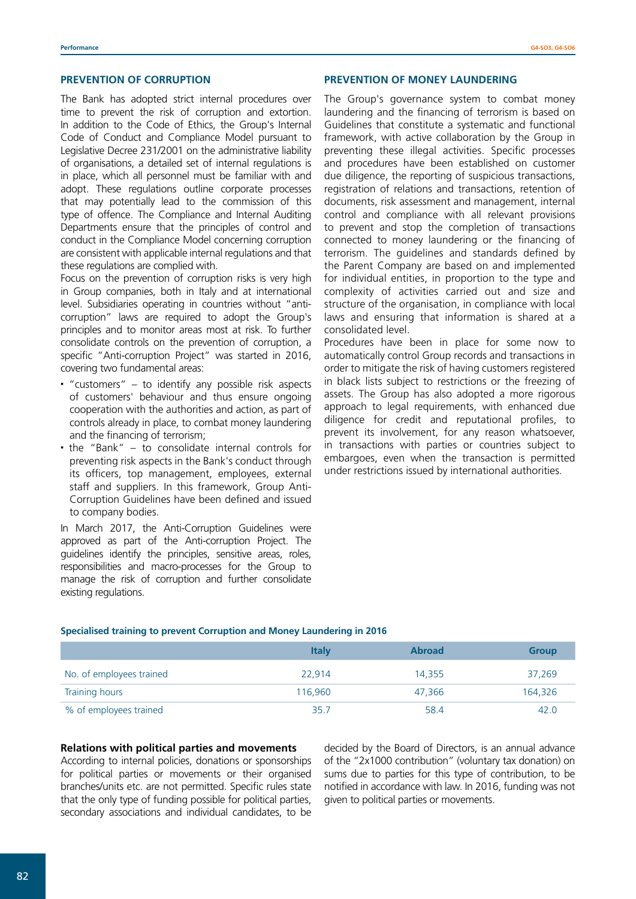## **PREVENTION OF CORRUPTION**

The Bank has adopted strict internal procedures over time to prevent the risk of corruption and extortion. In addition to the Code of Ethics, the Group's Internal Code of Conduct and Compliance Model pursuant to Legislative Decree 231/2001 on the administrative liability of organisations, a detailed set of internal regulations is in place, which all personnel must be familiar with and adopt. These regulations outline corporate processes that may potentially lead to the commission of this type of offence. The Compliance and Internal Auditing Departments ensure that the principles of control and conduct in the Compliance Model concerning corruption are consistent with applicable internal regulations and that these regulations are complied with.

Focus on the prevention of corruption risks is very high in Group companies, both in Italy and at international level. Subsidiaries operating in countries without "anticorruption" laws are required to adopt the Group's principles and to monitor areas most at risk. To further consolidate controls on the prevention of corruption, a specific "Anti-corruption Project" was started in 2016, covering two fundamental areas:

- "customers" to identify any possible risk aspects of customers' behaviour and thus ensure ongoing cooperation with the authorities and action, as part of controls already in place, to combat money laundering and the financing of terrorism;
- the "Bank" to consolidate internal controls for preventing risk aspects in the Bank's conduct through its officers, top management, employees, external staff and suppliers. In this framework, Group Anti-Corruption Guidelines have been defined and issued to company bodies.

In March 2017, the Anti-Corruption Guidelines were approved as part of the Anti-corruption Project. The guidelines identify the principles, sensitive areas, roles, responsibilities and macro-processes for the Group to manage the risk of corruption and further consolidate existing regulations.

#### **PREVENTION OF MONEY LAUNDERING**

The Group's governance system to combat money laundering and the financing of terrorism is based on Guidelines that constitute a systematic and functional framework, with active collaboration by the Group in preventing these illegal activities. Specific processes and procedures have been established on customer due diligence, the reporting of suspicious transactions, registration of relations and transactions, retention of documents, risk assessment and management, internal control and compliance with all relevant provisions to prevent and stop the completion of transactions connected to money laundering or the financing of terrorism. The guidelines and standards defined by the Parent Company are based on and implemented for individual entities, in proportion to the type and complexity of activities carried out and size and structure of the organisation, in compliance with local laws and ensuring that information is shared at a consolidated level.

Procedures have been in place for some now to automatically control Group records and transactions in order to mitigate the risk of having customers registered in black lists subject to restrictions or the freezing of assets. The Group has also adopted a more rigorous approach to legal requirements, with enhanced due diligence for credit and reputational profiles, to prevent its involvement, for any reason whatsoever, in transactions with parties or countries subject to embargoes, even when the transaction is permitted under restrictions issued by international authorities.

#### **Specialised training to prevent Corruption and Money Laundering in 2016**

|                          | <b>Italy</b> | <b>Abroad</b> | <b>Group</b> |
|--------------------------|--------------|---------------|--------------|
| No. of employees trained | 22.914       | 14,355        | 37.269       |
| Training hours           | 116.960      | 47.366        | 164,326      |
| % of employees trained   | 35.7         | 58.4          | 42.0         |

#### **Relations with political parties and movements**

According to internal policies, donations or sponsorships for political parties or movements or their organised branches/units etc. are not permitted. Specific rules state that the only type of funding possible for political parties, secondary associations and individual candidates, to be

decided by the Board of Directors, is an annual advance of the "2x1000 contribution" (voluntary tax donation) on sums due to parties for this type of contribution, to be notified in accordance with law. In 2016, funding was not given to political parties or movements.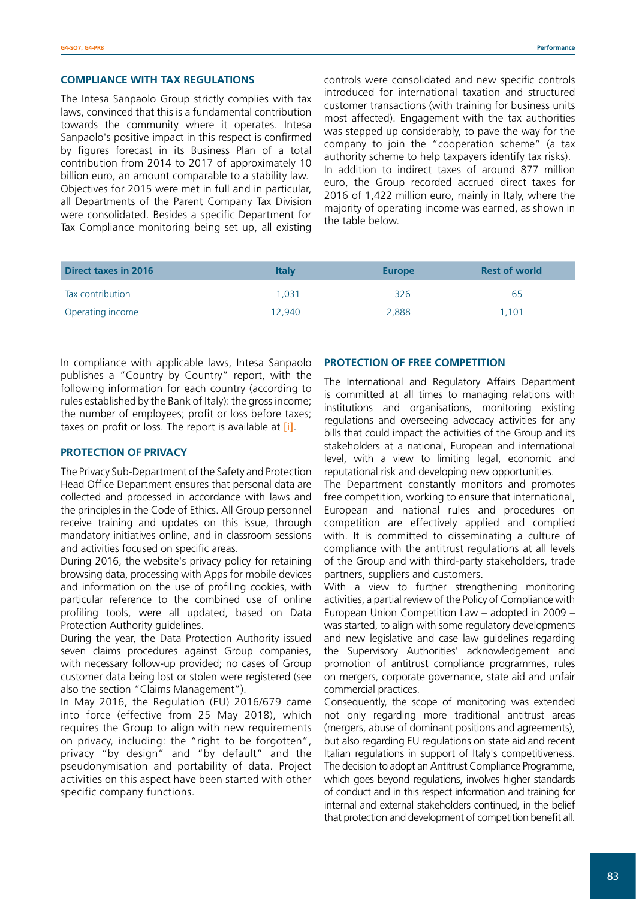#### **COMPLIANCE WITH TAX REGULATIONS**

The Intesa Sanpaolo Group strictly complies with tax laws, convinced that this is a fundamental contribution towards the community where it operates. Intesa Sanpaolo's positive impact in this respect is confirmed by figures forecast in its Business Plan of a total contribution from 2014 to 2017 of approximately 10 billion euro, an amount comparable to a stability law. Objectives for 2015 were met in full and in particular, all Departments of the Parent Company Tax Division were consolidated. Besides a specific Department for Tax Compliance monitoring being set up, all existing

controls were consolidated and new specific controls introduced for international taxation and structured customer transactions (with training for business units most affected). Engagement with the tax authorities was stepped up considerably, to pave the way for the company to join the "cooperation scheme" (a tax authority scheme to help taxpayers identify tax risks). In addition to indirect taxes of around 877 million euro, the Group recorded accrued direct taxes for 2016 of 1,422 million euro, mainly in Italy, where the majority of operating income was earned, as shown in the table below.

| <b>Direct taxes in 2016</b> | <b>Italy</b> | <b>Europe</b> | <b>Rest of world</b> |
|-----------------------------|--------------|---------------|----------------------|
| Tax contribution            | 1.031        | 326           | 65                   |
| Operating income            | 12.940       | 2,888         | 1.101                |

In compliance with applicable laws, Intesa Sanpaolo publishes a "Country by Country" report, with the following information for each country (according to rules established by the Bank of Italy): the gross income; the number of employees; profit or loss before taxes; taxes on profit or loss. The report is available at [\[i\]](http://www.group.intesasanpaolo.com/scriptIsir0/si09/governance/eng_stato_per_stato.jsp).

## **PROTECTION OF PRIVACY**

The Privacy Sub-Department of the Safety and Protection Head Office Department ensures that personal data are collected and processed in accordance with laws and the principles in the Code of Ethics. All Group personnel receive training and updates on this issue, through mandatory initiatives online, and in classroom sessions and activities focused on specific areas.

During 2016, the website's privacy policy for retaining browsing data, processing with Apps for mobile devices and information on the use of profiling cookies, with particular reference to the combined use of online profiling tools, were all updated, based on Data Protection Authority guidelines.

During the year, the Data Protection Authority issued seven claims procedures against Group companies, with necessary follow-up provided; no cases of Group customer data being lost or stolen were registered (see also the section "Claims Management").

In May 2016, the Regulation (EU) 2016/679 came into force (effective from 25 May 2018), which requires the Group to align with new requirements on privacy, including: the "right to be forgotten", privacy "by design" and "by default" and the pseudonymisation and portability of data. Project activities on this aspect have been started with other specific company functions.

#### **PROTECTION OF FREE COMPETITION**

The International and Regulatory Affairs Department is committed at all times to managing relations with institutions and organisations, monitoring existing regulations and overseeing advocacy activities for any bills that could impact the activities of the Group and its stakeholders at a national, European and international level, with a view to limiting legal, economic and reputational risk and developing new opportunities.

The Department constantly monitors and promotes free competition, working to ensure that international, European and national rules and procedures on competition are effectively applied and complied with. It is committed to disseminating a culture of compliance with the antitrust regulations at all levels of the Group and with third-party stakeholders, trade partners, suppliers and customers.

With a view to further strengthening monitoring activities, a partial review of the Policy of Compliance with European Union Competition Law – adopted in 2009 – was started, to align with some regulatory developments and new legislative and case law guidelines regarding the Supervisory Authorities' acknowledgement and promotion of antitrust compliance programmes, rules on mergers, corporate governance, state aid and unfair commercial practices.

Consequently, the scope of monitoring was extended not only regarding more traditional antitrust areas (mergers, abuse of dominant positions and agreements), but also regarding EU regulations on state aid and recent Italian regulations in support of Italy's competitiveness. The decision to adopt an Antitrust Compliance Programme, which goes beyond regulations, involves higher standards of conduct and in this respect information and training for internal and external stakeholders continued, in the belief that protection and development of competition benefit all.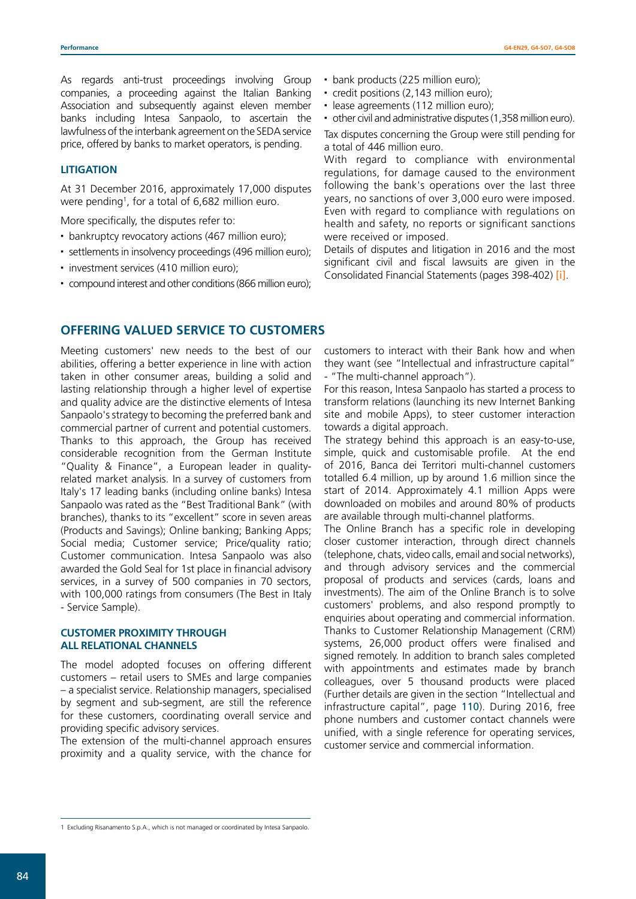As regards anti-trust proceedings involving Group companies, a proceeding against the Italian Banking Association and subsequently against eleven member banks including Intesa Sanpaolo, to ascertain the lawfulness of the interbank agreement on the SEDA service price, offered by banks to market operators, is pending.

### **LITIGATION**

At 31 December 2016, approximately 17,000 disputes were pending1 , for a total of 6,682 million euro.

More specifically, the disputes refer to:

- bankruptcy revocatory actions (467 million euro);
- settlements in insolvency proceedings (496 million euro);
- $\cdot$  investment services (410 million euro);
- compound interest and other conditions (866 million euro);

## **OFFERING VALUED SERVICE TO CUSTOMERS**

Meeting customers' new needs to the best of our abilities, offering a better experience in line with action taken in other consumer areas, building a solid and lasting relationship through a higher level of expertise and quality advice are the distinctive elements of Intesa Sanpaolo's strategy to becoming the preferred bank and commercial partner of current and potential customers. Thanks to this approach, the Group has received considerable recognition from the German Institute "Quality & Finance", a European leader in qualityrelated market analysis. In a survey of customers from Italy's 17 leading banks (including online banks) Intesa Sanpaolo was rated as the "Best Traditional Bank" (with branches), thanks to its "excellent" score in seven areas (Products and Savings); Online banking; Banking Apps; Social media; Customer service; Price/quality ratio; Customer communication. Intesa Sanpaolo was also awarded the Gold Seal for 1st place in financial advisory services, in a survey of 500 companies in 70 sectors, with 100,000 ratings from consumers (The Best in Italy - Service Sample).

### **CUSTOMER PROXIMITY THROUGH ALL RELATIONAL CHANNELS**

The model adopted focuses on offering different customers – retail users to SMEs and large companies – a specialist service. Relationship managers, specialised by segment and sub-segment, are still the reference for these customers, coordinating overall service and providing specific advisory services.

The extension of the multi-channel approach ensures proximity and a quality service, with the chance for

- bank products (225 million euro);
- credit positions (2,143 million euro);
- lease agreements (112 million euro);

 other civil and administrative disputes (1,358 million euro). Tax disputes concerning the Group were still pending for a total of 446 million euro.

With regard to compliance with environmental regulations, for damage caused to the environment following the bank's operations over the last three years, no sanctions of over 3,000 euro were imposed. Even with regard to compliance with regulations on health and safety, no reports or significant sanctions were received or imposed.

Details of disputes and litigation in 2016 and the most significant civil and fiscal lawsuits are given in the Consolidated Financial Statements (pages 398-402) [\[i\]](http://www.group.intesasanpaolo.com/scriptIsir0/si09/investor_relations/eng_bilanci_relazioni.jsp?tabId=2016&tabParams=eyd0YWJJZCc6JzIwMTYnLCdhbm5vJzonMjAxNicsJ3R5cGUnOidhJ30_).

customers to interact with their Bank how and when they want (see "Intellectual and infrastructure capital" - "The multi-channel approach").

For this reason, Intesa Sanpaolo has started a process to transform relations (launching its new Internet Banking site and mobile Apps), to steer customer interaction towards a digital approach.

The strategy behind this approach is an easy-to-use, simple, quick and customisable profile. At the end of 2016, Banca dei Territori multi-channel customers totalled 6.4 million, up by around 1.6 million since the start of 2014. Approximately 4.1 million Apps were downloaded on mobiles and around 80% of products are available through multi-channel platforms.

The Online Branch has a specific role in developing closer customer interaction, through direct channels (telephone, chats, video calls, email and social networks), and through advisory services and the commercial proposal of products and services (cards, loans and investments). The aim of the Online Branch is to solve customers' problems, and also respond promptly to enquiries about operating and commercial information. Thanks to Customer Relationship Management (CRM) systems, 26,000 product offers were finalised and signed remotely. In addition to branch sales completed with appointments and estimates made by branch colleagues, over 5 thousand products were placed (Further details are given in the section "Intellectual and infrastructure capital", page 110). During 2016, free phone numbers and customer contact channels were unified, with a single reference for operating services, customer service and commercial information.

<sup>1</sup> Excluding Risanamento S.p.A., which is not managed or coordinated by Intesa Sanpaolo.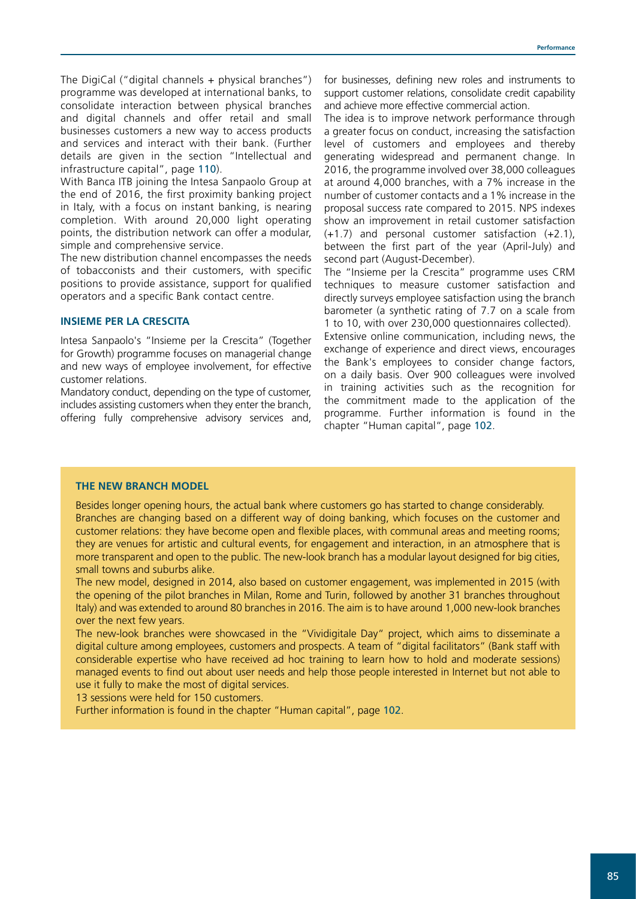The DigiCal ("digital channels + physical branches") programme was developed at international banks, to consolidate interaction between physical branches and digital channels and offer retail and small businesses customers a new way to access products and services and interact with their bank. (Further details are given in the section "Intellectual and infrastructure capital", page 110).

With Banca ITB joining the Intesa Sanpaolo Group at the end of 2016, the first proximity banking project in Italy, with a focus on instant banking, is nearing completion. With around 20,000 light operating points, the distribution network can offer a modular, simple and comprehensive service.

The new distribution channel encompasses the needs of tobacconists and their customers, with specific positions to provide assistance, support for qualified operators and a specific Bank contact centre.

## **INSIEME PER LA CRESCITA**

Intesa Sanpaolo's "Insieme per la Crescita" (Together for Growth) programme focuses on managerial change and new ways of employee involvement, for effective customer relations.

Mandatory conduct, depending on the type of customer, includes assisting customers when they enter the branch, offering fully comprehensive advisory services and,

for businesses, defining new roles and instruments to support customer relations, consolidate credit capability and achieve more effective commercial action.

The idea is to improve network performance through a greater focus on conduct, increasing the satisfaction level of customers and employees and thereby generating widespread and permanent change. In 2016, the programme involved over 38,000 colleagues at around 4,000 branches, with a 7% increase in the number of customer contacts and a 1% increase in the proposal success rate compared to 2015. NPS indexes show an improvement in retail customer satisfaction (+1.7) and personal customer satisfaction (+2.1), between the first part of the year (April-July) and second part (August-December).

The "Insieme per la Crescita" programme uses CRM techniques to measure customer satisfaction and directly surveys employee satisfaction using the branch barometer (a synthetic rating of 7.7 on a scale from 1 to 10, with over 230,000 questionnaires collected).

Extensive online communication, including news, the exchange of experience and direct views, encourages the Bank's employees to consider change factors, on a daily basis. Over 900 colleagues were involved in training activities such as the recognition for the commitment made to the application of the programme. Further information is found in the chapter "Human capital", page 102.

#### **THE NEW BRANCH MODEL**

Besides longer opening hours, the actual bank where customers go has started to change considerably. Branches are changing based on a different way of doing banking, which focuses on the customer and customer relations: they have become open and flexible places, with communal areas and meeting rooms; they are venues for artistic and cultural events, for engagement and interaction, in an atmosphere that is more transparent and open to the public. The new-look branch has a modular layout designed for big cities, small towns and suburbs alike.

The new model, designed in 2014, also based on customer engagement, was implemented in 2015 (with the opening of the pilot branches in Milan, Rome and Turin, followed by another 31 branches throughout Italy) and was extended to around 80 branches in 2016. The aim is to have around 1,000 new-look branches over the next few years.

The new-look branches were showcased in the "Vividigitale Day" project, which aims to disseminate a digital culture among employees, customers and prospects. A team of "digital facilitators" (Bank staff with considerable expertise who have received ad hoc training to learn how to hold and moderate sessions) managed events to find out about user needs and help those people interested in Internet but not able to use it fully to make the most of digital services.

13 sessions were held for 150 customers.

Further information is found in the chapter "Human capital", page 102.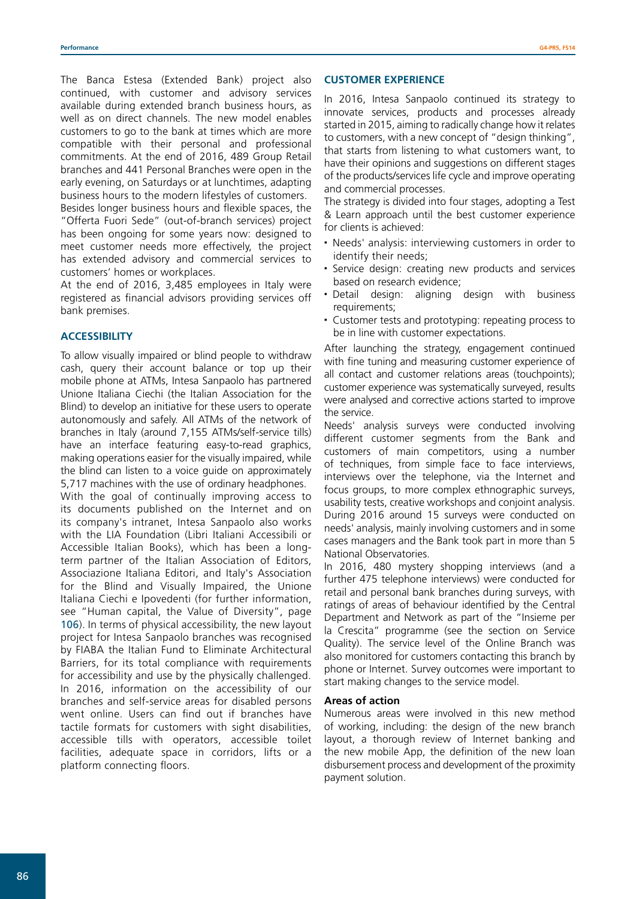The Banca Estesa (Extended Bank) project also continued, with customer and advisory services available during extended branch business hours, as well as on direct channels. The new model enables customers to go to the bank at times which are more compatible with their personal and professional commitments. At the end of 2016, 489 Group Retail branches and 441 Personal Branches were open in the early evening, on Saturdays or at lunchtimes, adapting business hours to the modern lifestyles of customers.

Besides longer business hours and flexible spaces, the "Offerta Fuori Sede" (out-of-branch services) project has been ongoing for some years now: designed to meet customer needs more effectively, the project has extended advisory and commercial services to customers' homes or workplaces.

At the end of 2016, 3,485 employees in Italy were registered as financial advisors providing services off bank premises.

## **ACCESSIBILITY**

To allow visually impaired or blind people to withdraw cash, query their account balance or top up their mobile phone at ATMs, Intesa Sanpaolo has partnered Unione Italiana Ciechi (the Italian Association for the Blind) to develop an initiative for these users to operate autonomously and safely. All ATMs of the network of branches in Italy (around 7,155 ATMs/self-service tills) have an interface featuring easy-to-read graphics, making operations easier for the visually impaired, while the blind can listen to a voice guide on approximately 5,717 machines with the use of ordinary headphones. With the goal of continually improving access to its documents published on the Internet and on its company's intranet, Intesa Sanpaolo also works with the LIA Foundation (Libri Italiani Accessibili or Accessible Italian Books), which has been a longterm partner of the Italian Association of Editors, Associazione Italiana Editori, and Italy's Association for the Blind and Visually Impaired, the Unione Italiana Ciechi e Ipovedenti (for further information, see "Human capital, the Value of Diversity", page 106). In terms of physical accessibility, the new layout project for Intesa Sanpaolo branches was recognised by FIABA the Italian Fund to Eliminate Architectural Barriers, for its total compliance with requirements for accessibility and use by the physically challenged. In 2016, information on the accessibility of our branches and self-service areas for disabled persons went online. Users can find out if branches have tactile formats for customers with sight disabilities, accessible tills with operators, accessible toilet facilities, adequate space in corridors, lifts or a platform connecting floors.

### **CUSTOMER EXPERIENCE**

In 2016, Intesa Sanpaolo continued its strategy to innovate services, products and processes already started in 2015, aiming to radically change how it relates to customers, with a new concept of "design thinking", that starts from listening to what customers want, to have their opinions and suggestions on different stages of the products/services life cycle and improve operating and commercial processes.

The strategy is divided into four stages, adopting a Test & Learn approach until the best customer experience for clients is achieved:

- Needs' analysis: interviewing customers in order to identify their needs;
- Service design: creating new products and services based on research evidence;
- Detail design: aligning design with business requirements;
- Customer tests and prototyping: repeating process to be in line with customer expectations.

After launching the strategy, engagement continued with fine tuning and measuring customer experience of all contact and customer relations areas (touchpoints); customer experience was systematically surveyed, results were analysed and corrective actions started to improve the service.

Needs' analysis surveys were conducted involving different customer segments from the Bank and customers of main competitors, using a number of techniques, from simple face to face interviews, interviews over the telephone, via the Internet and focus groups, to more complex ethnographic surveys, usability tests, creative workshops and conjoint analysis. During 2016 around 15 surveys were conducted on needs' analysis, mainly involving customers and in some cases managers and the Bank took part in more than 5 National Observatories.

In 2016, 480 mystery shopping interviews (and a further 475 telephone interviews) were conducted for retail and personal bank branches during surveys, with ratings of areas of behaviour identified by the Central Department and Network as part of the "Insieme per la Crescita" programme (see the section on Service Quality). The service level of the Online Branch was also monitored for customers contacting this branch by phone or Internet. Survey outcomes were important to start making changes to the service model.

#### **Areas of action**

Numerous areas were involved in this new method of working, including: the design of the new branch layout, a thorough review of Internet banking and the new mobile App, the definition of the new loan disbursement process and development of the proximity payment solution.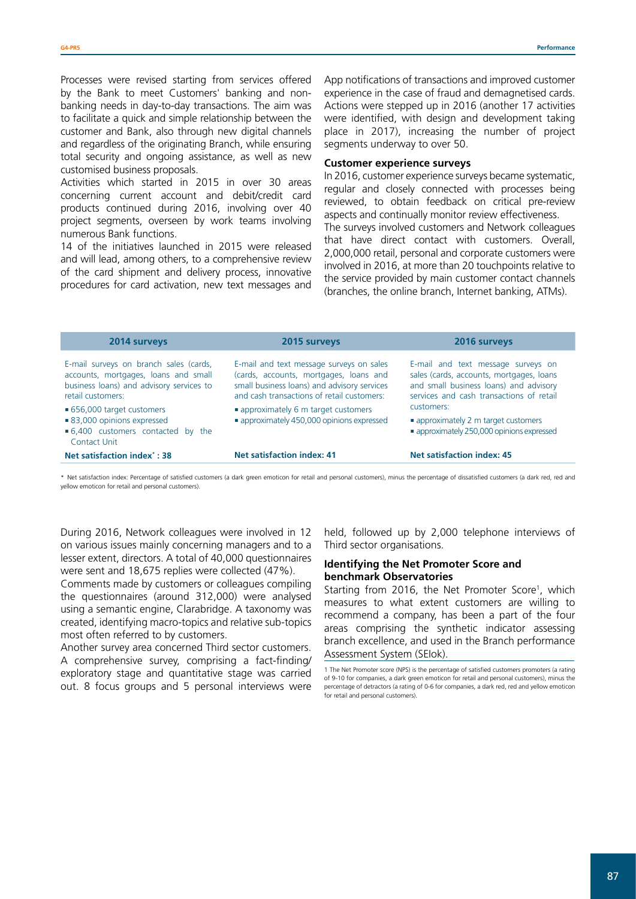Processes were revised starting from services offered by the Bank to meet Customers' banking and nonbanking needs in day-to-day transactions. The aim was to facilitate a quick and simple relationship between the customer and Bank, also through new digital channels and regardless of the originating Branch, while ensuring total security and ongoing assistance, as well as new customised business proposals.

Activities which started in 2015 in over 30 areas concerning current account and debit/credit card products continued during 2016, involving over 40 project segments, overseen by work teams involving numerous Bank functions.

14 of the initiatives launched in 2015 were released and will lead, among others, to a comprehensive review of the card shipment and delivery process, innovative procedures for card activation, new text messages and

App notifications of transactions and improved customer experience in the case of fraud and demagnetised cards. Actions were stepped up in 2016 (another 17 activities were identified, with design and development taking place in 2017), increasing the number of project segments underway to over 50.

#### **Customer experience surveys**

In 2016, customer experience surveys became systematic, regular and closely connected with processes being reviewed, to obtain feedback on critical pre-review aspects and continually monitor review effectiveness. The surveys involved customers and Network colleagues that have direct contact with customers. Overall, 2,000,000 retail, personal and corporate customers were involved in 2016, at more than 20 touchpoints relative to the service provided by main customer contact channels (branches, the online branch, Internet banking, ATMs).

| 2014 surveys                                                                                                                                    | 2015 surveys                                                                                                                                                                    | 2016 surveys                                                                                                                                                         |  |
|-------------------------------------------------------------------------------------------------------------------------------------------------|---------------------------------------------------------------------------------------------------------------------------------------------------------------------------------|----------------------------------------------------------------------------------------------------------------------------------------------------------------------|--|
| E-mail surveys on branch sales (cards,<br>accounts, mortgages, loans and small<br>business loans) and advisory services to<br>retail customers: | E-mail and text message surveys on sales<br>(cards, accounts, mortgages, loans and<br>small business loans) and advisory services<br>and cash transactions of retail customers: | E-mail and text message surveys on<br>sales (cards, accounts, mortgages, loans<br>and small business loans) and advisory<br>services and cash transactions of retail |  |
| ■ 656,000 target customers                                                                                                                      | • approximately 6 m target customers                                                                                                                                            | customers:                                                                                                                                                           |  |
| ■ 83,000 opinions expressed<br>■ 6,400 customers contacted by the<br>Contact Unit                                                               | • approximately 450,000 opinions expressed                                                                                                                                      | • approximately 2 m target customers<br>• approximately 250,000 opinions expressed                                                                                   |  |
| Net satisfaction index <sup>*</sup> : 38                                                                                                        | <b>Net satisfaction index: 41</b>                                                                                                                                               | <b>Net satisfaction index: 45</b>                                                                                                                                    |  |

\* Net satisfaction index: Percentage of satisfied customers (a dark green emoticon for retail and personal customers), minus the percentage of dissatisfied customers (a dark red, red and yellow emoticon for retail and personal customers).

During 2016, Network colleagues were involved in 12 on various issues mainly concerning managers and to a lesser extent, directors. A total of 40,000 questionnaires were sent and 18,675 replies were collected (47%).

Comments made by customers or colleagues compiling the questionnaires (around 312,000) were analysed using a semantic engine, Clarabridge. A taxonomy was created, identifying macro-topics and relative sub-topics most often referred to by customers.

Another survey area concerned Third sector customers. A comprehensive survey, comprising a fact-finding/ exploratory stage and quantitative stage was carried out. 8 focus groups and 5 personal interviews were

held, followed up by 2,000 telephone interviews of Third sector organisations.

#### **Identifying the Net Promoter Score and benchmark Observatories**

Starting from 2016, the Net Promoter Score<sup>1</sup>, which measures to what extent customers are willing to recommend a company, has been a part of the four areas comprising the synthetic indicator assessing branch excellence, and used in the Branch performance Assessment System (SEIok).

<sup>1</sup> The Net Promoter score (NPS) is the percentage of satisfied customers promoters (a rating of 9-10 for companies, a dark green emoticon for retail and personal customers), minus the percentage of detractors (a rating of 0-6 for companies, a dark red, red and yellow emoticon for retail and personal customers).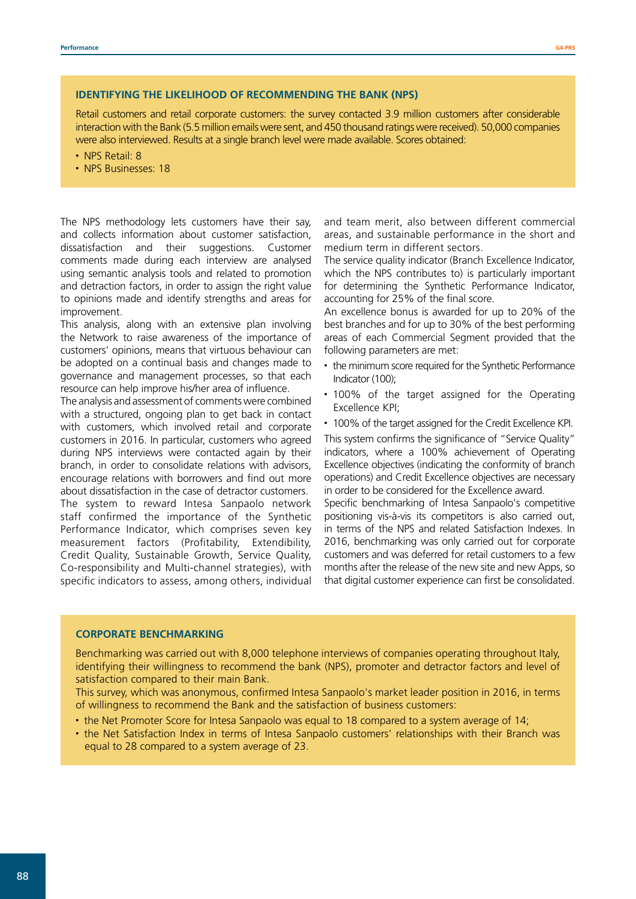### **IDENTIFYING THE LIKELIHOOD OF RECOMMENDING THE BANK (NPS)**

Retail customers and retail corporate customers: the survey contacted 3.9 million customers after considerable interaction with the Bank (5.5 million emails were sent, and 450 thousand ratings were received). 50,000 companies were also interviewed. Results at a single branch level were made available. Scores obtained:

- NPS Retail: 8
- NPS Businesses: 18

The NPS methodology lets customers have their say, and collects information about customer satisfaction, dissatisfaction and their suggestions. Customer comments made during each interview are analysed using semantic analysis tools and related to promotion and detraction factors, in order to assign the right value to opinions made and identify strengths and areas for improvement.

This analysis, along with an extensive plan involving the Network to raise awareness of the importance of customers' opinions, means that virtuous behaviour can be adopted on a continual basis and changes made to governance and management processes, so that each resource can help improve his/her area of influence.

The analysis and assessment of comments were combined with a structured, ongoing plan to get back in contact with customers, which involved retail and corporate customers in 2016. In particular, customers who agreed during NPS interviews were contacted again by their branch, in order to consolidate relations with advisors, encourage relations with borrowers and find out more about dissatisfaction in the case of detractor customers. The system to reward Intesa Sanpaolo network staff confirmed the importance of the Synthetic Performance Indicator, which comprises seven key measurement factors (Profitability, Extendibility, Credit Quality, Sustainable Growth, Service Quality, Co-responsibility and Multi-channel strategies), with specific indicators to assess, among others, individual

and team merit, also between different commercial areas, and sustainable performance in the short and medium term in different sectors.

The service quality indicator (Branch Excellence Indicator, which the NPS contributes to) is particularly important for determining the Synthetic Performance Indicator, accounting for 25% of the final score.

An excellence bonus is awarded for up to 20% of the best branches and for up to 30% of the best performing areas of each Commercial Segment provided that the following parameters are met:

- the minimum score required for the Synthetic Performance Indicator (100);
- 100% of the target assigned for the Operating Excellence KPI;
- 100% of the target assigned for the Credit Excellence KPI.

This system confirms the significance of "Service Quality" indicators, where a 100% achievement of Operating Excellence objectives (indicating the conformity of branch operations) and Credit Excellence objectives are necessary in order to be considered for the Excellence award.

Specific benchmarking of Intesa Sanpaolo's competitive positioning vis-à-vis its competitors is also carried out, in terms of the NPS and related Satisfaction Indexes. In 2016, benchmarking was only carried out for corporate customers and was deferred for retail customers to a few months after the release of the new site and new Apps, so that digital customer experience can first be consolidated.

#### **CORPORATE BENCHMARKING**

Benchmarking was carried out with 8,000 telephone interviews of companies operating throughout Italy, identifying their willingness to recommend the bank (NPS), promoter and detractor factors and level of satisfaction compared to their main Bank.

This survey, which was anonymous, confirmed Intesa Sanpaolo's market leader position in 2016, in terms of willingness to recommend the Bank and the satisfaction of business customers:

- the Net Promoter Score for Intesa Sanpaolo was equal to 18 compared to a system average of 14;
- the Net Satisfaction Index in terms of Intesa Sanpaolo customers' relationships with their Branch was equal to 28 compared to a system average of 23.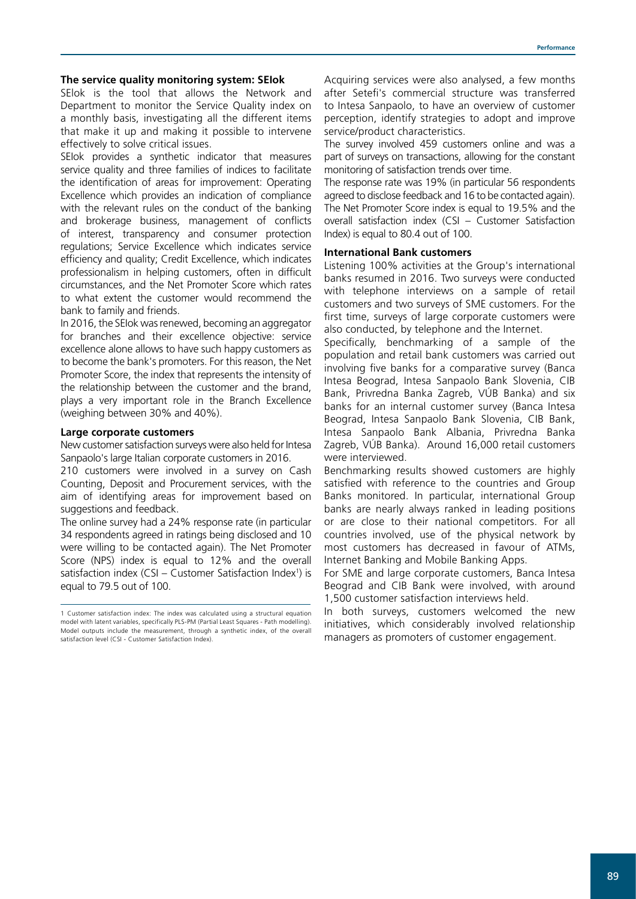#### **The service quality monitoring system: SEIok**

SElok is the tool that allows the Network and Department to monitor the Service Quality index on a monthly basis, investigating all the different items that make it up and making it possible to intervene effectively to solve critical issues.

SEIok provides a synthetic indicator that measures service quality and three families of indices to facilitate the identification of areas for improvement: Operating Excellence which provides an indication of compliance with the relevant rules on the conduct of the banking and brokerage business, management of conflicts of interest, transparency and consumer protection regulations; Service Excellence which indicates service efficiency and quality; Credit Excellence, which indicates professionalism in helping customers, often in difficult circumstances, and the Net Promoter Score which rates to what extent the customer would recommend the bank to family and friends.

In 2016, the SEIok was renewed, becoming an aggregator for branches and their excellence objective: service excellence alone allows to have such happy customers as to become the bank's promoters. For this reason, the Net Promoter Score, the index that represents the intensity of the relationship between the customer and the brand, plays a very important role in the Branch Excellence (weighing between 30% and 40%).

#### **Large corporate customers**

New customer satisfaction surveys were also held for Intesa Sanpaolo's large Italian corporate customers in 2016.

210 customers were involved in a survey on Cash Counting, Deposit and Procurement services, with the aim of identifying areas for improvement based on suggestions and feedback.

The online survey had a 24% response rate (in particular 34 respondents agreed in ratings being disclosed and 10 were willing to be contacted again). The Net Promoter Score (NPS) index is equal to 12% and the overall satisfaction index (CSI – Customer Satisfaction Index<sup>1</sup>) is equal to 79.5 out of 100.

Acquiring services were also analysed, a few months after Setefi's commercial structure was transferred to Intesa Sanpaolo, to have an overview of customer perception, identify strategies to adopt and improve service/product characteristics.

The survey involved 459 customers online and was a part of surveys on transactions, allowing for the constant monitoring of satisfaction trends over time.

The response rate was 19% (in particular 56 respondents agreed to disclose feedback and 16 to be contacted again). The Net Promoter Score index is equal to 19.5% and the overall satisfaction index (CSI – Customer Satisfaction Index) is equal to 80.4 out of 100.

## **International Bank customers**

Listening 100% activities at the Group's international banks resumed in 2016. Two surveys were conducted with telephone interviews on a sample of retail customers and two surveys of SME customers. For the first time, surveys of large corporate customers were also conducted, by telephone and the Internet.

Specifically, benchmarking of a sample of the population and retail bank customers was carried out involving five banks for a comparative survey (Banca Intesa Beograd, Intesa Sanpaolo Bank Slovenia, CIB Bank, Privredna Banka Zagreb, VÚB Banka) and six banks for an internal customer survey (Banca Intesa Beograd, Intesa Sanpaolo Bank Slovenia, CIB Bank, Intesa Sanpaolo Bank Albania, Privredna Banka Zagreb, VÚB Banka). Around 16,000 retail customers were interviewed.

Benchmarking results showed customers are highly satisfied with reference to the countries and Group Banks monitored. In particular, international Group banks are nearly always ranked in leading positions or are close to their national competitors. For all countries involved, use of the physical network by most customers has decreased in favour of ATMs, Internet Banking and Mobile Banking Apps.

For SME and large corporate customers, Banca Intesa Beograd and CIB Bank were involved, with around 1,500 customer satisfaction interviews held.

In both surveys, customers welcomed the new initiatives, which considerably involved relationship managers as promoters of customer engagement.

<sup>1</sup> Customer satisfaction index: The index was calculated using a structural equation model with latent variables, specifically PLS-PM (Partial Least Squares - Path modelling). Model outputs include the measurement, through a synthetic index, of the overall satisfaction level (CSI - Customer Satisfaction Index).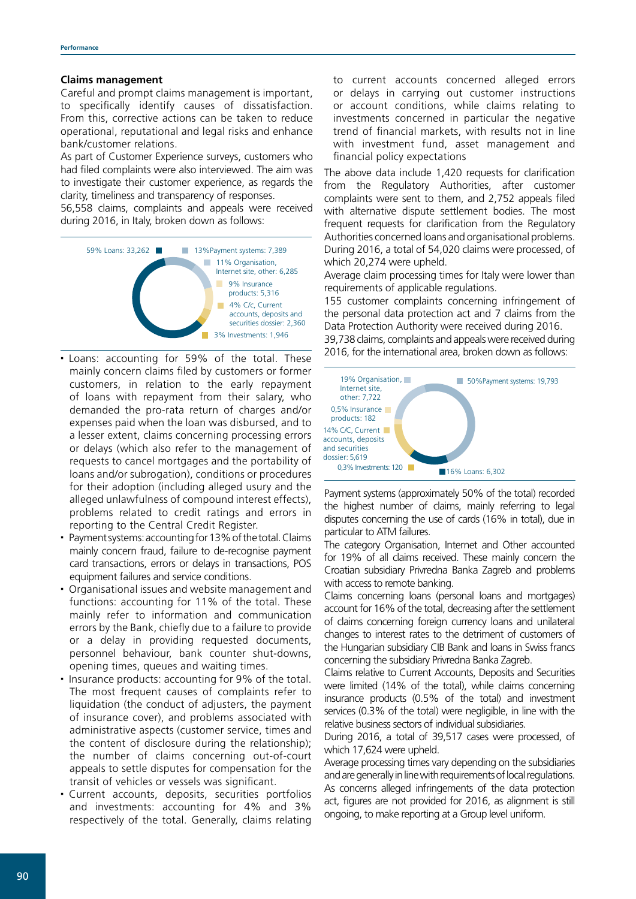#### **Claims management**

Careful and prompt claims management is important, to specifically identify causes of dissatisfaction. From this, corrective actions can be taken to reduce operational, reputational and legal risks and enhance bank/customer relations.

As part of Customer Experience surveys, customers who had filed complaints were also interviewed. The aim was to investigate their customer experience, as regards the clarity, timeliness and transparency of responses.

56,558 claims, complaints and appeals were received during 2016, in Italy, broken down as follows:



- Loans: accounting for 59% of the total. These mainly concern claims filed by customers or former customers, in relation to the early repayment of loans with repayment from their salary, who demanded the pro-rata return of charges and/or expenses paid when the loan was disbursed, and to a lesser extent, claims concerning processing errors or delays (which also refer to the management of requests to cancel mortgages and the portability of loans and/or subrogation), conditions or procedures for their adoption (including alleged usury and the alleged unlawfulness of compound interest effects), problems related to credit ratings and errors in reporting to the Central Credit Register.
- Payment systems: accounting for 13% of the total. Claims mainly concern fraud, failure to de-recognise payment card transactions, errors or delays in transactions, POS equipment failures and service conditions.
- Organisational issues and website management and functions: accounting for 11% of the total. These mainly refer to information and communication errors by the Bank, chiefly due to a failure to provide or a delay in providing requested documents, personnel behaviour, bank counter shut-downs, opening times, queues and waiting times.
- Insurance products: accounting for 9% of the total. The most frequent causes of complaints refer to liquidation (the conduct of adjusters, the payment of insurance cover), and problems associated with administrative aspects (customer service, times and the content of disclosure during the relationship); the number of claims concerning out-of-court appeals to settle disputes for compensation for the transit of vehicles or vessels was significant.
- Current accounts, deposits, securities portfolios and investments: accounting for 4% and 3% respectively of the total. Generally, claims relating

to current accounts concerned alleged errors or delays in carrying out customer instructions or account conditions, while claims relating to investments concerned in particular the negative trend of financial markets, with results not in line with investment fund, asset management and financial policy expectations

The above data include 1,420 requests for clarification from the Regulatory Authorities, after customer complaints were sent to them, and 2,752 appeals filed with alternative dispute settlement bodies. The most frequent requests for clarification from the Regulatory Authorities concerned loans and organisational problems. During 2016, a total of 54,020 claims were processed, of which 20,274 were upheld.

Average claim processing times for Italy were lower than requirements of applicable regulations.

155 customer complaints concerning infringement of the personal data protection act and 7 claims from the Data Protection Authority were received during 2016. 39,738 claims, complaints and appeals were received during

2016, for the international area, broken down as follows:



Payment systems (approximately 50% of the total) recorded the highest number of claims, mainly referring to legal disputes concerning the use of cards (16% in total), due in particular to ATM failures.

The category Organisation, Internet and Other accounted for 19% of all claims received. These mainly concern the Croatian subsidiary Privredna Banka Zagreb and problems with access to remote banking.

Claims concerning loans (personal loans and mortgages) account for 16% of the total, decreasing after the settlement of claims concerning foreign currency loans and unilateral changes to interest rates to the detriment of customers of the Hungarian subsidiary CIB Bank and loans in Swiss francs concerning the subsidiary Privredna Banka Zagreb.

Claims relative to Current Accounts, Deposits and Securities were limited (14% of the total), while claims concerning insurance products (0.5% of the total) and investment services (0.3% of the total) were negligible, in line with the relative business sectors of individual subsidiaries.

During 2016, a total of 39,517 cases were processed, of which 17,624 were upheld.

Average processing times vary depending on the subsidiaries and are generally in line with requirements of local regulations. As concerns alleged infringements of the data protection act, figures are not provided for 2016, as alignment is still ongoing, to make reporting at a Group level uniform.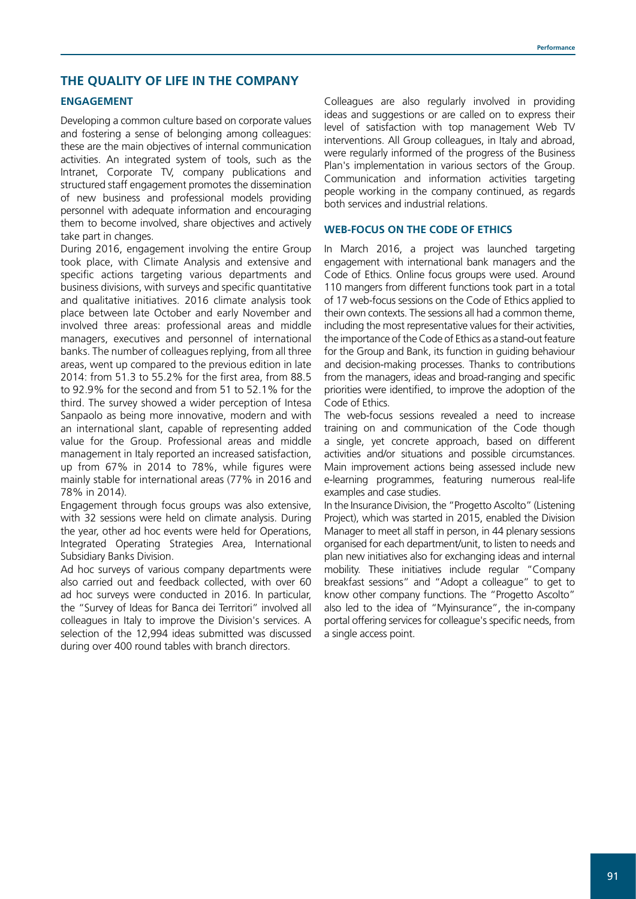## **THE QUALITY OF LIFE IN THE COMPANY**

## **ENGAGEMENT**

Developing a common culture based on corporate values and fostering a sense of belonging among colleagues: these are the main objectives of internal communication activities. An integrated system of tools, such as the Intranet, Corporate TV, company publications and structured staff engagement promotes the dissemination of new business and professional models providing personnel with adequate information and encouraging them to become involved, share objectives and actively take part in changes.

During 2016, engagement involving the entire Group took place, with Climate Analysis and extensive and specific actions targeting various departments and business divisions, with surveys and specific quantitative and qualitative initiatives. 2016 climate analysis took place between late October and early November and involved three areas: professional areas and middle managers, executives and personnel of international banks. The number of colleagues replying, from all three areas, went up compared to the previous edition in late 2014: from 51.3 to 55.2% for the first area, from 88.5 to 92.9% for the second and from 51 to 52.1% for the third. The survey showed a wider perception of Intesa Sanpaolo as being more innovative, modern and with an international slant, capable of representing added value for the Group. Professional areas and middle management in Italy reported an increased satisfaction, up from 67% in 2014 to 78%, while figures were mainly stable for international areas (77% in 2016 and 78% in 2014).

Engagement through focus groups was also extensive, with 32 sessions were held on climate analysis. During the year, other ad hoc events were held for Operations, Integrated Operating Strategies Area, International Subsidiary Banks Division.

Ad hoc surveys of various company departments were also carried out and feedback collected, with over 60 ad hoc surveys were conducted in 2016. In particular, the "Survey of Ideas for Banca dei Territori" involved all colleagues in Italy to improve the Division's services. A selection of the 12,994 ideas submitted was discussed during over 400 round tables with branch directors.

Colleagues are also regularly involved in providing ideas and suggestions or are called on to express their level of satisfaction with top management Web TV interventions. All Group colleagues, in Italy and abroad, were regularly informed of the progress of the Business Plan's implementation in various sectors of the Group. Communication and information activities targeting people working in the company continued, as regards both services and industrial relations.

## **WEB-FOCUS ON THE CODE OF ETHICS**

In March 2016, a project was launched targeting engagement with international bank managers and the Code of Ethics. Online focus groups were used. Around 110 mangers from different functions took part in a total of 17 web-focus sessions on the Code of Ethics applied to their own contexts. The sessions all had a common theme, including the most representative values for their activities, the importance of the Code of Ethics as a stand-out feature for the Group and Bank, its function in guiding behaviour and decision-making processes. Thanks to contributions from the managers, ideas and broad-ranging and specific priorities were identified, to improve the adoption of the Code of Ethics.

The web-focus sessions revealed a need to increase training on and communication of the Code though a single, yet concrete approach, based on different activities and/or situations and possible circumstances. Main improvement actions being assessed include new e-learning programmes, featuring numerous real-life examples and case studies.

In the Insurance Division, the "Progetto Ascolto" (Listening Project), which was started in 2015, enabled the Division Manager to meet all staff in person, in 44 plenary sessions organised for each department/unit, to listen to needs and plan new initiatives also for exchanging ideas and internal mobility. These initiatives include regular "Company breakfast sessions" and "Adopt a colleague" to get to know other company functions. The "Progetto Ascolto" also led to the idea of "Myinsurance", the in-company portal offering services for colleague's specific needs, from a single access point.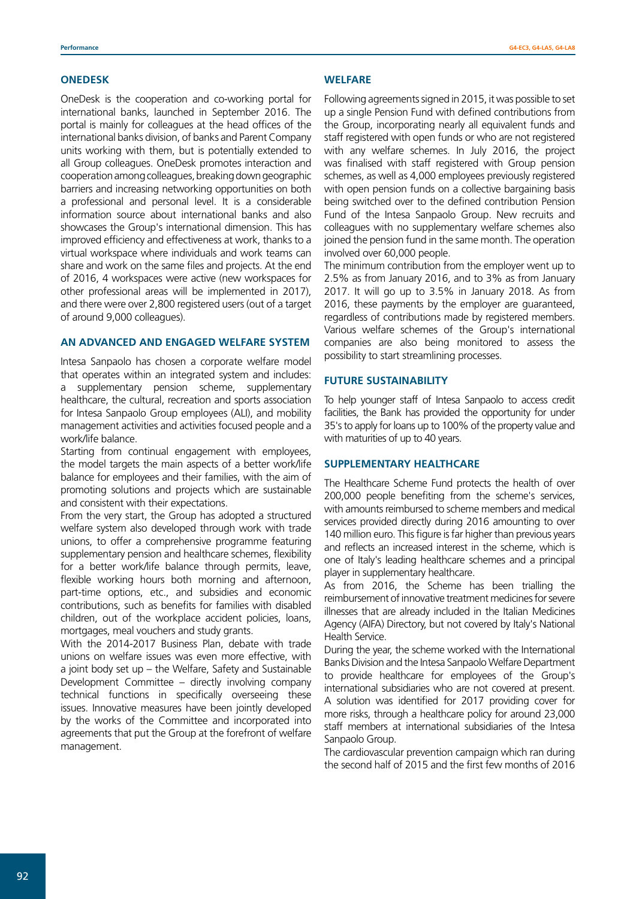#### **ONEDESK**

OneDesk is the cooperation and co-working portal for international banks, launched in September 2016. The portal is mainly for colleagues at the head offices of the international banks division, of banks and Parent Company units working with them, but is potentially extended to all Group colleagues. OneDesk promotes interaction and cooperation among colleagues, breaking down geographic barriers and increasing networking opportunities on both a professional and personal level. It is a considerable information source about international banks and also showcases the Group's international dimension. This has improved efficiency and effectiveness at work, thanks to a virtual workspace where individuals and work teams can share and work on the same files and projects. At the end of 2016, 4 workspaces were active (new workspaces for other professional areas will be implemented in 2017), and there were over 2,800 registered users (out of a target of around 9,000 colleagues).

### **AN ADVANCED AND ENGAGED WELFARE SYSTEM**

Intesa Sanpaolo has chosen a corporate welfare model that operates within an integrated system and includes: a supplementary pension scheme, supplementary healthcare, the cultural, recreation and sports association for Intesa Sanpaolo Group employees (ALI), and mobility management activities and activities focused people and a work/life balance.

Starting from continual engagement with employees, the model targets the main aspects of a better work/life balance for employees and their families, with the aim of promoting solutions and projects which are sustainable and consistent with their expectations.

From the very start, the Group has adopted a structured welfare system also developed through work with trade unions, to offer a comprehensive programme featuring supplementary pension and healthcare schemes, flexibility for a better work/life balance through permits, leave, flexible working hours both morning and afternoon, part-time options, etc., and subsidies and economic contributions, such as benefits for families with disabled children, out of the workplace accident policies, loans, mortgages, meal vouchers and study grants.

With the 2014-2017 Business Plan, debate with trade unions on welfare issues was even more effective, with a joint body set up – the Welfare, Safety and Sustainable Development Committee – directly involving company technical functions in specifically overseeing these issues. Innovative measures have been jointly developed by the works of the Committee and incorporated into agreements that put the Group at the forefront of welfare management.

#### **WELFARE**

Following agreements signed in 2015, it was possible to set up a single Pension Fund with defined contributions from the Group, incorporating nearly all equivalent funds and staff registered with open funds or who are not registered with any welfare schemes. In July 2016, the project was finalised with staff registered with Group pension schemes, as well as 4,000 employees previously registered with open pension funds on a collective bargaining basis being switched over to the defined contribution Pension Fund of the Intesa Sanpaolo Group. New recruits and colleagues with no supplementary welfare schemes also joined the pension fund in the same month. The operation involved over 60,000 people.

The minimum contribution from the employer went up to 2.5% as from January 2016, and to 3% as from January 2017. It will go up to 3.5% in January 2018. As from 2016, these payments by the employer are guaranteed, regardless of contributions made by registered members. Various welfare schemes of the Group's international companies are also being monitored to assess the possibility to start streamlining processes.

#### **FUTURE SUSTAINABILITY**

To help younger staff of Intesa Sanpaolo to access credit facilities, the Bank has provided the opportunity for under 35's to apply for loans up to 100% of the property value and with maturities of up to 40 years.

#### **SUPPLEMENTARY HEALTHCARE**

The Healthcare Scheme Fund protects the health of over 200,000 people benefiting from the scheme's services, with amounts reimbursed to scheme members and medical services provided directly during 2016 amounting to over 140 million euro. This figure is far higher than previous years and reflects an increased interest in the scheme, which is one of Italy's leading healthcare schemes and a principal player in supplementary healthcare.

As from 2016, the Scheme has been trialling the reimbursement of innovative treatment medicines for severe illnesses that are already included in the Italian Medicines Agency (AIFA) Directory, but not covered by Italy's National Health Service.

During the year, the scheme worked with the International Banks Division and the Intesa Sanpaolo Welfare Department to provide healthcare for employees of the Group's international subsidiaries who are not covered at present. A solution was identified for 2017 providing cover for more risks, through a healthcare policy for around 23,000 staff members at international subsidiaries of the Intesa Sanpaolo Group.

The cardiovascular prevention campaign which ran during the second half of 2015 and the first few months of 2016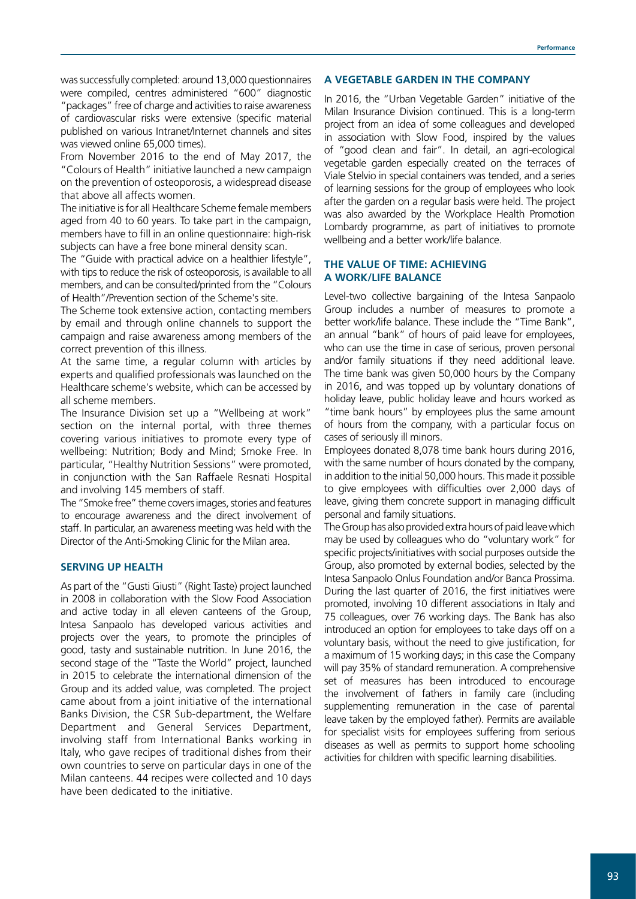was successfully completed: around 13,000 questionnaires were compiled, centres administered "600" diagnostic "packages" free of charge and activities to raise awareness of cardiovascular risks were extensive (specific material published on various Intranet/Internet channels and sites was viewed online 65,000 times).

From November 2016 to the end of May 2017, the "Colours of Health" initiative launched a new campaign on the prevention of osteoporosis, a widespread disease that above all affects women.

The initiative is for all Healthcare Scheme female members aged from 40 to 60 years. To take part in the campaign, members have to fill in an online questionnaire: high-risk subjects can have a free bone mineral density scan.

The "Guide with practical advice on a healthier lifestyle", with tips to reduce the risk of osteoporosis, is available to all members, and can be consulted/printed from the "Colours of Health"/Prevention section of the Scheme's site.

The Scheme took extensive action, contacting members by email and through online channels to support the campaign and raise awareness among members of the correct prevention of this illness.

At the same time, a regular column with articles by experts and qualified professionals was launched on the Healthcare scheme's website, which can be accessed by all scheme members.

The Insurance Division set up a "Wellbeing at work" section on the internal portal, with three themes covering various initiatives to promote every type of wellbeing: Nutrition; Body and Mind; Smoke Free. In particular, "Healthy Nutrition Sessions" were promoted, in conjunction with the San Raffaele Resnati Hospital and involving 145 members of staff.

The "Smoke free" theme covers images, stories and features to encourage awareness and the direct involvement of staff. In particular, an awareness meeting was held with the Director of the Anti-Smoking Clinic for the Milan area.

## **SERVING UP HEALTH**

As part of the "Gusti Giusti" (Right Taste) project launched in 2008 in collaboration with the Slow Food Association and active today in all eleven canteens of the Group, Intesa Sanpaolo has developed various activities and projects over the years, to promote the principles of good, tasty and sustainable nutrition. In June 2016, the second stage of the "Taste the World" project, launched in 2015 to celebrate the international dimension of the Group and its added value, was completed. The project came about from a joint initiative of the international Banks Division, the CSR Sub-department, the Welfare Department and General Services Department, involving staff from International Banks working in Italy, who gave recipes of traditional dishes from their own countries to serve on particular days in one of the Milan canteens. 44 recipes were collected and 10 days have been dedicated to the initiative.

#### **A VEGETABLE GARDEN IN THE COMPANY**

In 2016, the "Urban Vegetable Garden" initiative of the Milan Insurance Division continued. This is a long-term project from an idea of some colleagues and developed in association with Slow Food, inspired by the values of "good clean and fair". In detail, an agri-ecological vegetable garden especially created on the terraces of Viale Stelvio in special containers was tended, and a series of learning sessions for the group of employees who look after the garden on a regular basis were held. The project was also awarded by the Workplace Health Promotion Lombardy programme, as part of initiatives to promote wellbeing and a better work/life balance.

## **THE VALUE OF TIME: ACHIEVING A WORK/LIFE BALANCE**

Level-two collective bargaining of the Intesa Sanpaolo Group includes a number of measures to promote a better work/life balance. These include the "Time Bank", an annual "bank" of hours of paid leave for employees, who can use the time in case of serious, proven personal and/or family situations if they need additional leave. The time bank was given 50,000 hours by the Company in 2016, and was topped up by voluntary donations of holiday leave, public holiday leave and hours worked as "time bank hours" by employees plus the same amount of hours from the company, with a particular focus on cases of seriously ill minors.

Employees donated 8,078 time bank hours during 2016, with the same number of hours donated by the company, in addition to the initial 50,000 hours. This made it possible to give employees with difficulties over 2,000 days of leave, giving them concrete support in managing difficult personal and family situations.

The Group has also provided extra hours of paid leave which may be used by colleagues who do "voluntary work" for specific projects/initiatives with social purposes outside the Group, also promoted by external bodies, selected by the Intesa Sanpaolo Onlus Foundation and/or Banca Prossima. During the last quarter of 2016, the first initiatives were promoted, involving 10 different associations in Italy and 75 colleagues, over 76 working days. The Bank has also introduced an option for employees to take days off on a voluntary basis, without the need to give justification, for a maximum of 15 working days; in this case the Company will pay 35% of standard remuneration. A comprehensive set of measures has been introduced to encourage the involvement of fathers in family care (including supplementing remuneration in the case of parental leave taken by the employed father). Permits are available for specialist visits for employees suffering from serious diseases as well as permits to support home schooling activities for children with specific learning disabilities.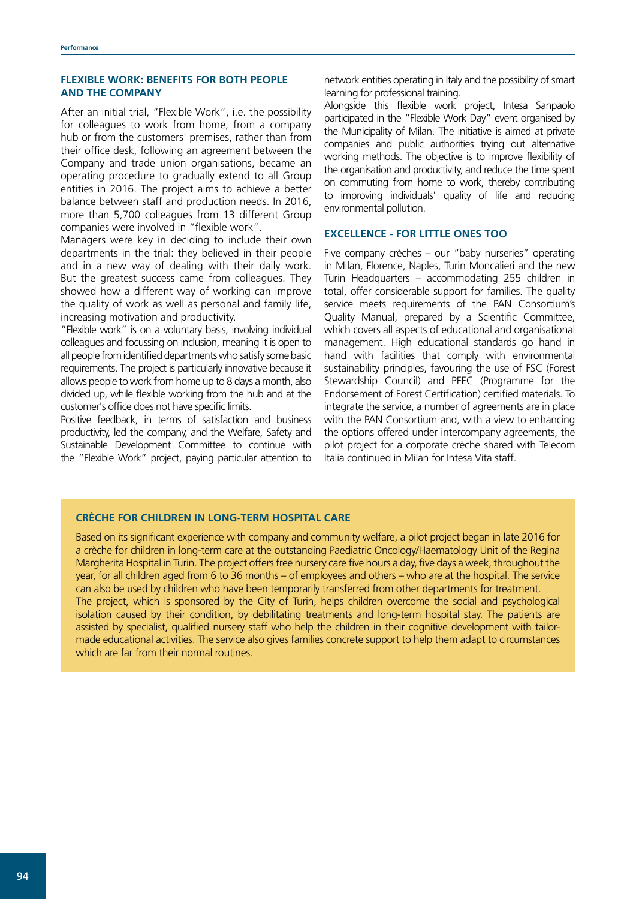## **FLEXIBLE WORK: BENEFITS FOR BOTH PEOPLE AND THE COMPANY**

After an initial trial, "Flexible Work", i.e. the possibility for colleagues to work from home, from a company hub or from the customers' premises, rather than from their office desk, following an agreement between the Company and trade union organisations, became an operating procedure to gradually extend to all Group entities in 2016. The project aims to achieve a better balance between staff and production needs. In 2016, more than 5,700 colleagues from 13 different Group companies were involved in "flexible work".

Managers were key in deciding to include their own departments in the trial: they believed in their people and in a new way of dealing with their daily work. But the greatest success came from colleagues. They showed how a different way of working can improve the quality of work as well as personal and family life, increasing motivation and productivity.

"Flexible work" is on a voluntary basis, involving individual colleagues and focussing on inclusion, meaning it is open to all people from identified departments who satisfy some basic requirements. The project is particularly innovative because it allows people to work from home up to 8 days a month, also divided up, while flexible working from the hub and at the customer's office does not have specific limits.

Positive feedback, in terms of satisfaction and business productivity, led the company, and the Welfare, Safety and Sustainable Development Committee to continue with the "Flexible Work" project, paying particular attention to network entities operating in Italy and the possibility of smart learning for professional training.

Alongside this flexible work project, Intesa Sanpaolo participated in the "Flexible Work Day" event organised by the Municipality of Milan. The initiative is aimed at private companies and public authorities trying out alternative working methods. The objective is to improve flexibility of the organisation and productivity, and reduce the time spent on commuting from home to work, thereby contributing to improving individuals' quality of life and reducing environmental pollution.

## **EXCELLENCE - FOR LITTLE ONES TOO**

Five company crèches – our "baby nurseries" operating in Milan, Florence, Naples, Turin Moncalieri and the new Turin Headquarters – accommodating 255 children in total, offer considerable support for families. The quality service meets requirements of the PAN Consortium's Quality Manual, prepared by a Scientific Committee, which covers all aspects of educational and organisational management. High educational standards go hand in hand with facilities that comply with environmental sustainability principles, favouring the use of FSC (Forest Stewardship Council) and PFEC (Programme for the Endorsement of Forest Certification) certified materials. To integrate the service, a number of agreements are in place with the PAN Consortium and, with a view to enhancing the options offered under intercompany agreements, the pilot project for a corporate crèche shared with Telecom Italia continued in Milan for Intesa Vita staff.

## **CRÈCHE FOR CHILDREN IN LONG-TERM HOSPITAL CARE**

Based on its significant experience with company and community welfare, a pilot project began in late 2016 for a crèche for children in long-term care at the outstanding Paediatric Oncology/Haematology Unit of the Regina Margherita Hospital in Turin. The project offers free nursery care five hours a day, five days a week, throughout the year, for all children aged from 6 to 36 months – of employees and others – who are at the hospital. The service can also be used by children who have been temporarily transferred from other departments for treatment. The project, which is sponsored by the City of Turin, helps children overcome the social and psychological isolation caused by their condition, by debilitating treatments and long-term hospital stay. The patients are assisted by specialist, qualified nursery staff who help the children in their cognitive development with tailormade educational activities. The service also gives families concrete support to help them adapt to circumstances which are far from their normal routines.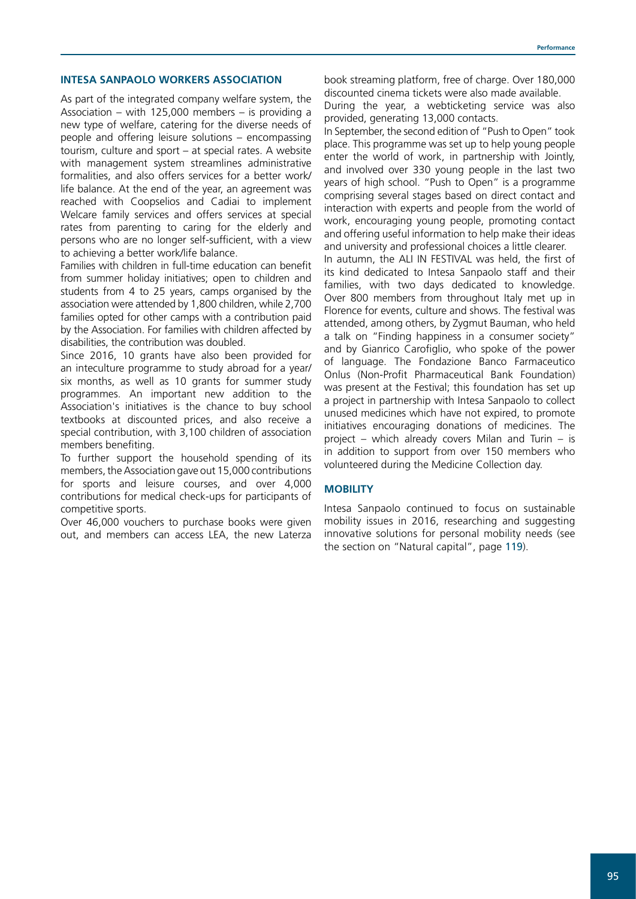#### **INTESA SANPAOLO WORKERS ASSOCIATION**

As part of the integrated company welfare system, the Association – with 125,000 members – is providing a new type of welfare, catering for the diverse needs of people and offering leisure solutions – encompassing tourism, culture and sport – at special rates. A website with management system streamlines administrative formalities, and also offers services for a better work/ life balance. At the end of the year, an agreement was reached with Coopselios and Cadiai to implement Welcare family services and offers services at special rates from parenting to caring for the elderly and persons who are no longer self-sufficient, with a view to achieving a better work/life balance.

Families with children in full-time education can benefit from summer holiday initiatives; open to children and students from 4 to 25 years, camps organised by the association were attended by 1,800 children, while 2,700 families opted for other camps with a contribution paid by the Association. For families with children affected by disabilities, the contribution was doubled.

Since 2016, 10 grants have also been provided for an inteculture programme to study abroad for a year/ six months, as well as 10 grants for summer study programmes. An important new addition to the Association's initiatives is the chance to buy school textbooks at discounted prices, and also receive a special contribution, with 3,100 children of association members benefiting.

To further support the household spending of its members, the Association gave out 15,000 contributions for sports and leisure courses, and over 4,000 contributions for medical check-ups for participants of competitive sports.

Over 46,000 vouchers to purchase books were given out, and members can access LEA, the new Laterza book streaming platform, free of charge. Over 180,000 discounted cinema tickets were also made available.

During the year, a webticketing service was also provided, generating 13,000 contacts.

In September, the second edition of "Push to Open" took place. This programme was set up to help young people enter the world of work, in partnership with Jointly, and involved over 330 young people in the last two years of high school. "Push to Open" is a programme comprising several stages based on direct contact and interaction with experts and people from the world of work, encouraging young people, promoting contact and offering useful information to help make their ideas and university and professional choices a little clearer.

In autumn, the ALI IN FESTIVAL was held, the first of its kind dedicated to Intesa Sanpaolo staff and their families, with two days dedicated to knowledge. Over 800 members from throughout Italy met up in Florence for events, culture and shows. The festival was attended, among others, by Zygmut Bauman, who held a talk on "Finding happiness in a consumer society" and by Gianrico Carofiglio, who spoke of the power of language. The Fondazione Banco Farmaceutico Onlus (Non-Profit Pharmaceutical Bank Foundation) was present at the Festival; this foundation has set up a project in partnership with Intesa Sanpaolo to collect unused medicines which have not expired, to promote initiatives encouraging donations of medicines. The project – which already covers Milan and Turin – is in addition to support from over 150 members who volunteered during the Medicine Collection day.

#### **MOBILITY**

Intesa Sanpaolo continued to focus on sustainable mobility issues in 2016, researching and suggesting innovative solutions for personal mobility needs (see the section on "Natural capital", page 119).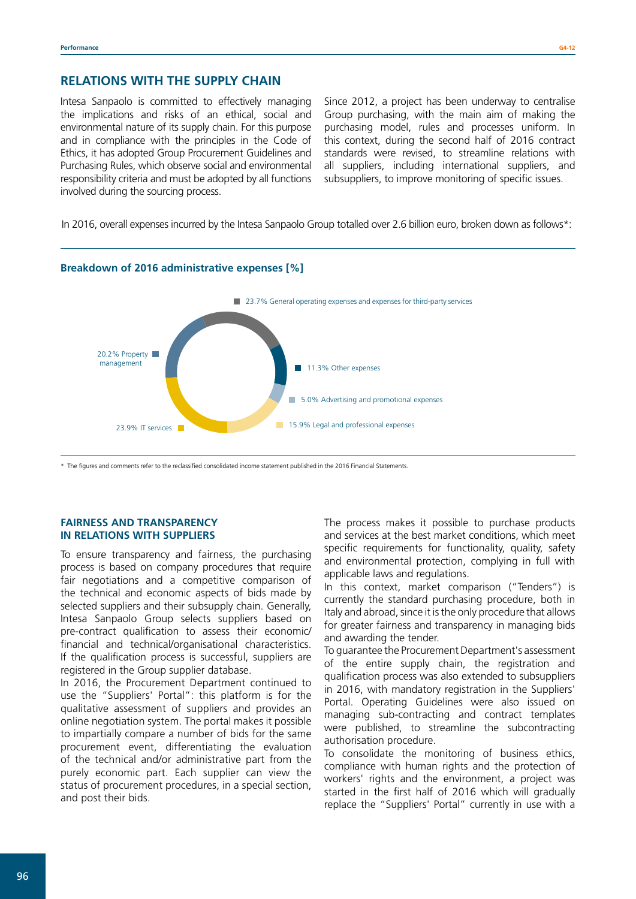## **RELATIONS WITH THE SUPPLY CHAIN**

Intesa Sanpaolo is committed to effectively managing the implications and risks of an ethical, social and environmental nature of its supply chain. For this purpose and in compliance with the principles in the Code of Ethics, it has adopted Group Procurement Guidelines and Purchasing Rules, which observe social and environmental responsibility criteria and must be adopted by all functions involved during the sourcing process.

Since 2012, a project has been underway to centralise Group purchasing, with the main aim of making the purchasing model, rules and processes uniform. In this context, during the second half of 2016 contract standards were revised, to streamline relations with all suppliers, including international suppliers, and subsuppliers, to improve monitoring of specific issues.

In 2016, overall expenses incurred by the Intesa Sanpaolo Group totalled over 2.6 billion euro, broken down as follows\*:



\* The figures and comments refer to the reclassified consolidated income statement published in the 2016 Financial Statements.

## **FAIRNESS AND TRANSPARENCY IN RELATIONS WITH SUPPLIERS**

To ensure transparency and fairness, the purchasing process is based on company procedures that require fair negotiations and a competitive comparison of the technical and economic aspects of bids made by selected suppliers and their subsupply chain. Generally, Intesa Sanpaolo Group selects suppliers based on pre-contract qualification to assess their economic/ financial and technical/organisational characteristics. If the qualification process is successful, suppliers are registered in the Group supplier database.

In 2016, the Procurement Department continued to use the "Suppliers' Portal": this platform is for the qualitative assessment of suppliers and provides an online negotiation system. The portal makes it possible to impartially compare a number of bids for the same procurement event, differentiating the evaluation of the technical and/or administrative part from the purely economic part. Each supplier can view the status of procurement procedures, in a special section, and post their bids.

The process makes it possible to purchase products and services at the best market conditions, which meet specific requirements for functionality, quality, safety and environmental protection, complying in full with applicable laws and regulations.

In this context, market comparison ("Tenders") is currently the standard purchasing procedure, both in Italy and abroad, since it is the only procedure that allows for greater fairness and transparency in managing bids and awarding the tender.

To guarantee the Procurement Department's assessment of the entire supply chain, the registration and qualification process was also extended to subsuppliers in 2016, with mandatory registration in the Suppliers' Portal. Operating Guidelines were also issued on managing sub-contracting and contract templates were published, to streamline the subcontracting authorisation procedure.

To consolidate the monitoring of business ethics, compliance with human rights and the protection of workers' rights and the environment, a project was started in the first half of 2016 which will gradually replace the "Suppliers' Portal" currently in use with a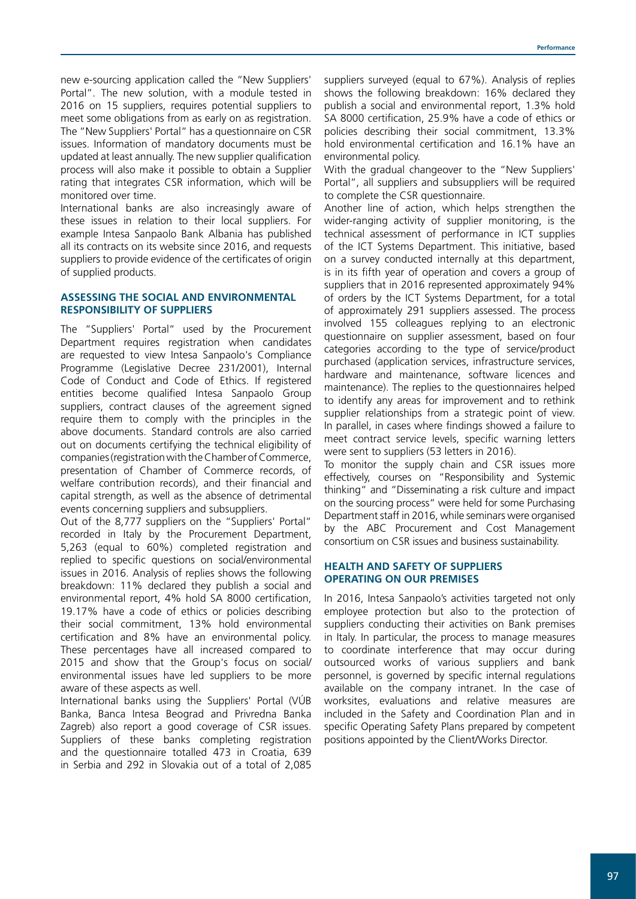new e-sourcing application called the "New Suppliers' Portal". The new solution, with a module tested in 2016 on 15 suppliers, requires potential suppliers to meet some obligations from as early on as registration. The "New Suppliers' Portal" has a questionnaire on CSR issues. Information of mandatory documents must be updated at least annually. The new supplier qualification process will also make it possible to obtain a Supplier rating that integrates CSR information, which will be monitored over time.

International banks are also increasingly aware of these issues in relation to their local suppliers. For example Intesa Sanpaolo Bank Albania has published all its contracts on its website since 2016, and requests suppliers to provide evidence of the certificates of origin of supplied products.

## **ASSESSING THE SOCIAL AND ENVIRONMENTAL RESPONSIBILITY OF SUPPLIERS**

The "Suppliers' Portal" used by the Procurement Department requires registration when candidates are requested to view Intesa Sanpaolo's Compliance Programme (Legislative Decree 231/2001), Internal Code of Conduct and Code of Ethics. If registered entities become qualified Intesa Sanpaolo Group suppliers, contract clauses of the agreement signed require them to comply with the principles in the above documents. Standard controls are also carried out on documents certifying the technical eligibility of companies (registration with the Chamber of Commerce, presentation of Chamber of Commerce records, of welfare contribution records), and their financial and capital strength, as well as the absence of detrimental events concerning suppliers and subsuppliers.

Out of the 8,777 suppliers on the "Suppliers' Portal" recorded in Italy by the Procurement Department, 5,263 (equal to 60%) completed registration and replied to specific questions on social/environmental issues in 2016. Analysis of replies shows the following breakdown: 11% declared they publish a social and environmental report, 4% hold SA 8000 certification, 19.17% have a code of ethics or policies describing their social commitment, 13% hold environmental certification and 8% have an environmental policy. These percentages have all increased compared to 2015 and show that the Group's focus on social/ environmental issues have led suppliers to be more aware of these aspects as well.

International banks using the Suppliers' Portal (VÚB Banka, Banca Intesa Beograd and Privredna Banka Zagreb) also report a good coverage of CSR issues. Suppliers of these banks completing registration and the questionnaire totalled 473 in Croatia, 639 in Serbia and 292 in Slovakia out of a total of 2,085

suppliers surveyed (equal to 67%). Analysis of replies shows the following breakdown: 16% declared they publish a social and environmental report, 1.3% hold SA 8000 certification, 25.9% have a code of ethics or policies describing their social commitment, 13.3% hold environmental certification and 16.1% have an environmental policy.

With the gradual changeover to the "New Suppliers' Portal", all suppliers and subsuppliers will be required to complete the CSR questionnaire.

Another line of action, which helps strengthen the wider-ranging activity of supplier monitoring, is the technical assessment of performance in ICT supplies of the ICT Systems Department. This initiative, based on a survey conducted internally at this department, is in its fifth year of operation and covers a group of suppliers that in 2016 represented approximately 94% of orders by the ICT Systems Department, for a total of approximately 291 suppliers assessed. The process involved 155 colleagues replying to an electronic questionnaire on supplier assessment, based on four categories according to the type of service/product purchased (application services, infrastructure services, hardware and maintenance, software licences and maintenance). The replies to the questionnaires helped to identify any areas for improvement and to rethink supplier relationships from a strategic point of view. In parallel, in cases where findings showed a failure to meet contract service levels, specific warning letters were sent to suppliers (53 letters in 2016).

To monitor the supply chain and CSR issues more effectively, courses on "Responsibility and Systemic thinking" and "Disseminating a risk culture and impact on the sourcing process" were held for some Purchasing Department staff in 2016, while seminars were organised by the ABC Procurement and Cost Management consortium on CSR issues and business sustainability.

## **HEALTH AND SAFETY OF SUPPLIERS OPERATING ON OUR PREMISES**

In 2016, Intesa Sanpaolo's activities targeted not only employee protection but also to the protection of suppliers conducting their activities on Bank premises in Italy. In particular, the process to manage measures to coordinate interference that may occur during outsourced works of various suppliers and bank personnel, is governed by specific internal regulations available on the company intranet. In the case of worksites, evaluations and relative measures are included in the Safety and Coordination Plan and in specific Operating Safety Plans prepared by competent positions appointed by the Client/Works Director.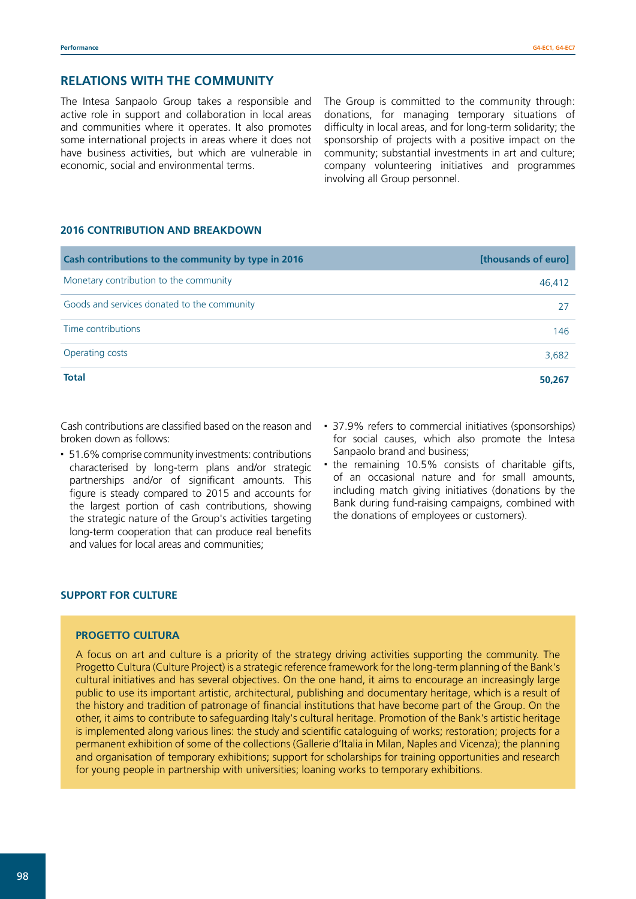## **RELATIONS WITH THE COMMUNITY**

The Intesa Sanpaolo Group takes a responsible and active role in support and collaboration in local areas and communities where it operates. It also promotes some international projects in areas where it does not have business activities, but which are vulnerable in economic, social and environmental terms.

The Group is committed to the community through: donations, for managing temporary situations of difficulty in local areas, and for long-term solidarity; the sponsorship of projects with a positive impact on the community; substantial investments in art and culture; company volunteering initiatives and programmes involving all Group personnel.

## **2016 CONTRIBUTION AND BREAKDOWN**

| Cash contributions to the community by type in 2016 | [thousands of euro] |
|-----------------------------------------------------|---------------------|
| Monetary contribution to the community              | 46,412              |
| Goods and services donated to the community         | 27                  |
| Time contributions                                  | 146                 |
| Operating costs                                     | 3,682               |
| <b>Total</b>                                        | 50,267              |

Cash contributions are classified based on the reason and broken down as follows:

- 51.6% comprise community investments: contributions characterised by long-term plans and/or strategic partnerships and/or of significant amounts. This figure is steady compared to 2015 and accounts for the largest portion of cash contributions, showing the strategic nature of the Group's activities targeting long-term cooperation that can produce real benefits and values for local areas and communities;
- 37.9% refers to commercial initiatives (sponsorships) for social causes, which also promote the Intesa Sanpaolo brand and business;
- . the remaining 10.5% consists of charitable gifts, of an occasional nature and for small amounts, including match giving initiatives (donations by the Bank during fund-raising campaigns, combined with the donations of employees or customers).

## **SUPPORT FOR CULTURE**

## **PROGETTO CULTURA**

A focus on art and culture is a priority of the strategy driving activities supporting the community. The Progetto Cultura (Culture Project) is a strategic reference framework for the long-term planning of the Bank's cultural initiatives and has several objectives. On the one hand, it aims to encourage an increasingly large public to use its important artistic, architectural, publishing and documentary heritage, which is a result of the history and tradition of patronage of financial institutions that have become part of the Group. On the other, it aims to contribute to safeguarding Italy's cultural heritage. Promotion of the Bank's artistic heritage is implemented along various lines: the study and scientific cataloguing of works; restoration; projects for a permanent exhibition of some of the collections (Gallerie d'Italia in Milan, Naples and Vicenza); the planning and organisation of temporary exhibitions; support for scholarships for training opportunities and research for young people in partnership with universities; loaning works to temporary exhibitions.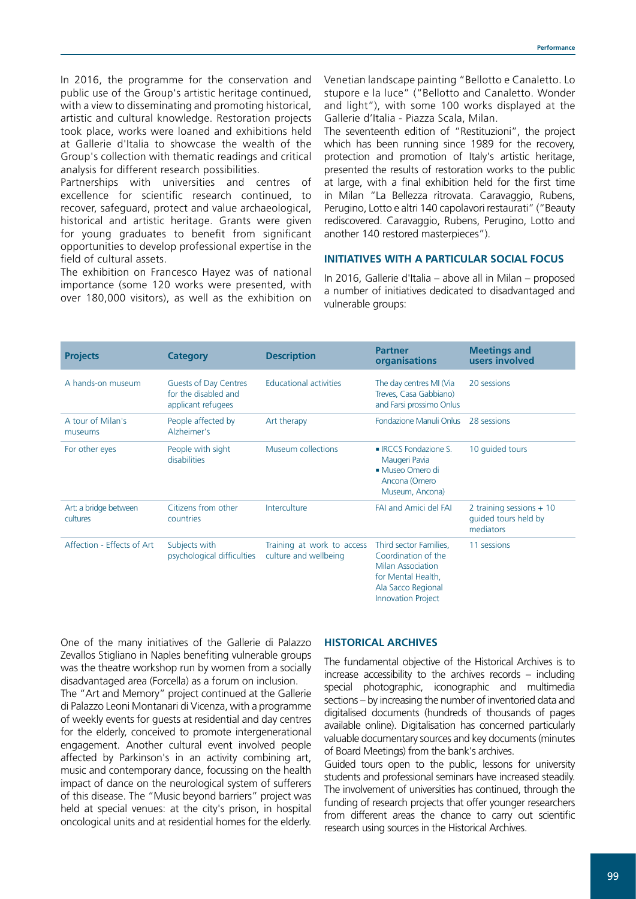In 2016, the programme for the conservation and public use of the Group's artistic heritage continued, with a view to disseminating and promoting historical, artistic and cultural knowledge. Restoration projects took place, works were loaned and exhibitions held at Gallerie d'Italia to showcase the wealth of the Group's collection with thematic readings and critical analysis for different research possibilities.

Partnerships with universities and centres of excellence for scientific research continued, to recover, safeguard, protect and value archaeological, historical and artistic heritage. Grants were given for young graduates to benefit from significant opportunities to develop professional expertise in the field of cultural assets.

The exhibition on Francesco Hayez was of national importance (some 120 works were presented, with over 180,000 visitors), as well as the exhibition on

Venetian landscape painting "Bellotto e Canaletto. Lo stupore e la luce" ("Bellotto and Canaletto. Wonder and light"), with some 100 works displayed at the Gallerie d'Italia - Piazza Scala, Milan.

The seventeenth edition of "Restituzioni", the project which has been running since 1989 for the recovery, protection and promotion of Italy's artistic heritage, presented the results of restoration works to the public at large, with a final exhibition held for the first time in Milan "La Bellezza ritrovata. Caravaggio, Rubens, Perugino, Lotto e altri 140 capolavori restaurati" ("Beauty rediscovered. Caravaggio, Rubens, Perugino, Lotto and another 140 restored masterpieces").

## **INITIATIVES WITH A PARTICULAR SOCIAL FOCUS**

In 2016, Gallerie d'Italia – above all in Milan – proposed a number of initiatives dedicated to disadvantaged and vulnerable groups:

| <b>Projects</b>                   | <b>Category</b>                                                     | <b>Description</b>                                  | <b>Partner</b><br><b>organisations</b>                                                                                                             | <b>Meetings and</b><br>users involved                          |
|-----------------------------------|---------------------------------------------------------------------|-----------------------------------------------------|----------------------------------------------------------------------------------------------------------------------------------------------------|----------------------------------------------------------------|
| A hands-on museum                 | Guests of Day Centres<br>for the disabled and<br>applicant refugees | <b>Educational activities</b>                       | The day centres MI (Via<br>Treves, Casa Gabbiano)<br>and Farsi prossimo Onlus                                                                      | 20 sessions                                                    |
| A tour of Milan's<br>museums      | People affected by<br>Alzheimer's                                   | Art therapy                                         | <b>Fondazione Manuli Onlus</b>                                                                                                                     | 28 sessions                                                    |
| For other eyes                    | People with sight<br>disabilities                                   | Museum collections                                  | • IRCCS Fondazione S.<br>Maugeri Pavia<br>• Museo Omero di<br>Ancona (Omero<br>Museum, Ancona)                                                     | 10 quided tours                                                |
| Art: a bridge between<br>cultures | Citizens from other<br>countries                                    | Interculture                                        | FAI and Amici del FAI                                                                                                                              | 2 training sessions $+10$<br>guided tours held by<br>mediators |
| Affection - Effects of Art        | Subjects with<br>psychological difficulties                         | Training at work to access<br>culture and wellbeing | Third sector Families,<br>Coordination of the<br><b>Milan Association</b><br>for Mental Health,<br>Ala Sacco Regional<br><b>Innovation Project</b> | 11 sessions                                                    |

One of the many initiatives of the Gallerie di Palazzo Zevallos Stigliano in Naples benefiting vulnerable groups was the theatre workshop run by women from a socially disadvantaged area (Forcella) as a forum on inclusion.

The "Art and Memory" project continued at the Gallerie di Palazzo Leoni Montanari di Vicenza, with a programme of weekly events for guests at residential and day centres for the elderly, conceived to promote intergenerational engagement. Another cultural event involved people affected by Parkinson's in an activity combining art, music and contemporary dance, focussing on the health impact of dance on the neurological system of sufferers of this disease. The "Music beyond barriers" project was held at special venues: at the city's prison, in hospital oncological units and at residential homes for the elderly.

## **HISTORICAL ARCHIVES**

The fundamental objective of the Historical Archives is to increase accessibility to the archives records – including special photographic, iconographic and multimedia sections – by increasing the number of inventoried data and digitalised documents (hundreds of thousands of pages available online). Digitalisation has concerned particularly valuable documentary sources and key documents (minutes of Board Meetings) from the bank's archives.

Guided tours open to the public, lessons for university students and professional seminars have increased steadily. The involvement of universities has continued, through the funding of research projects that offer younger researchers from different areas the chance to carry out scientific research using sources in the Historical Archives.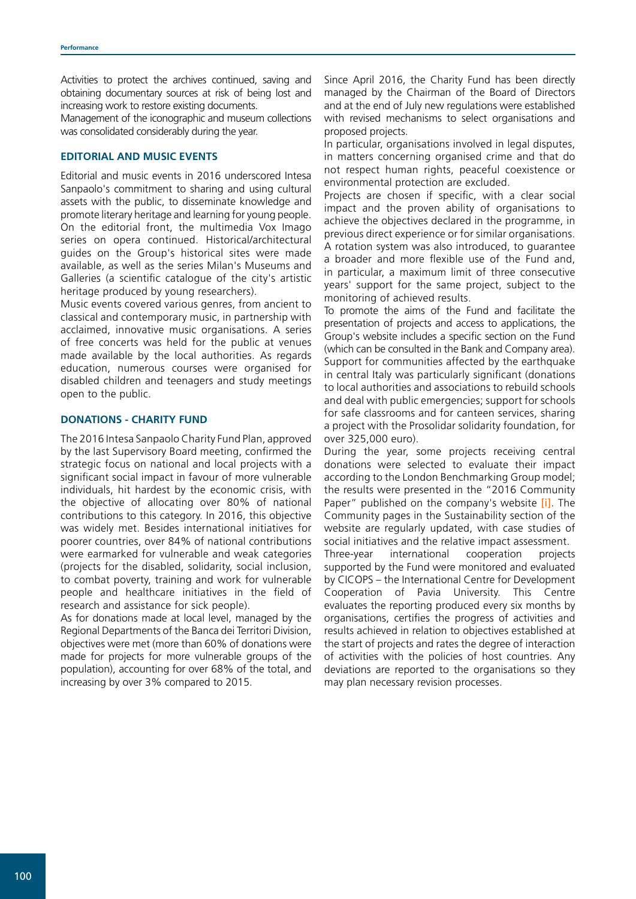Activities to protect the archives continued, saving and obtaining documentary sources at risk of being lost and increasing work to restore existing documents.

Management of the iconographic and museum collections was consolidated considerably during the year.

## **EDITORIAL AND MUSIC EVENTS**

Editorial and music events in 2016 underscored Intesa Sanpaolo's commitment to sharing and using cultural assets with the public, to disseminate knowledge and promote literary heritage and learning for young people. On the editorial front, the multimedia Vox Imago series on opera continued. Historical/architectural guides on the Group's historical sites were made available, as well as the series Milan's Museums and Galleries (a scientific catalogue of the city's artistic heritage produced by young researchers).

Music events covered various genres, from ancient to classical and contemporary music, in partnership with acclaimed, innovative music organisations. A series of free concerts was held for the public at venues made available by the local authorities. As regards education, numerous courses were organised for disabled children and teenagers and study meetings open to the public.

## **DONATIONS - CHARITY FUND**

The 2016 Intesa Sanpaolo Charity Fund Plan, approved by the last Supervisory Board meeting, confirmed the strategic focus on national and local projects with a significant social impact in favour of more vulnerable individuals, hit hardest by the economic crisis, with the objective of allocating over 80% of national contributions to this category. In 2016, this objective was widely met. Besides international initiatives for poorer countries, over 84% of national contributions were earmarked for vulnerable and weak categories (projects for the disabled, solidarity, social inclusion, to combat poverty, training and work for vulnerable people and healthcare initiatives in the field of research and assistance for sick people).

As for donations made at local level, managed by the Regional Departments of the Banca dei Territori Division, objectives were met (more than 60% of donations were made for projects for more vulnerable groups of the population), accounting for over 68% of the total, and increasing by over 3% compared to 2015.

Since April 2016, the Charity Fund has been directly managed by the Chairman of the Board of Directors and at the end of July new regulations were established with revised mechanisms to select organisations and proposed projects.

In particular, organisations involved in legal disputes, in matters concerning organised crime and that do not respect human rights, peaceful coexistence or environmental protection are excluded.

Projects are chosen if specific, with a clear social impact and the proven ability of organisations to achieve the objectives declared in the programme, in previous direct experience or for similar organisations. A rotation system was also introduced, to guarantee a broader and more flexible use of the Fund and, in particular, a maximum limit of three consecutive years' support for the same project, subject to the monitoring of achieved results.

To promote the aims of the Fund and facilitate the presentation of projects and access to applications, the Group's website includes a specific section on the Fund (which can be consulted in the Bank and Company area). Support for communities affected by the earthquake in central Italy was particularly significant (donations to local authorities and associations to rebuild schools and deal with public emergencies; support for schools for safe classrooms and for canteen services, sharing a project with the Prosolidar solidarity foundation, for over 325,000 euro).

During the year, some projects receiving central donations were selected to evaluate their impact according to the London Benchmarking Group model; the results were presented in the "2016 Community Paper" published on the company's website [\[i\]](http://www.group.intesasanpaolo.com/scriptIsir0/si09/sostenibilita/eng_comunita.jsp). The Community pages in the Sustainability section of the website are regularly updated, with case studies of social initiatives and the relative impact assessment. Three-year international cooperation projects supported by the Fund were monitored and evaluated by CICOPS – the International Centre for Development Cooperation of Pavia University. This Centre evaluates the reporting produced every six months by organisations, certifies the progress of activities and results achieved in relation to objectives established at the start of projects and rates the degree of interaction of activities with the policies of host countries. Any deviations are reported to the organisations so they may plan necessary revision processes.